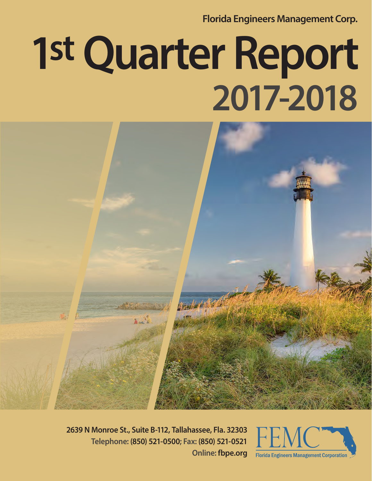**Florida Engineers Management Corp.**

# **1st Quarter Report 2017-2018**



**2639 N Monroe St., Suite B-112, Tallahassee, Fla. 32303 Telephone: (850) 521-0500; Fax: (850) 521-0521 Online: fbpe.org**

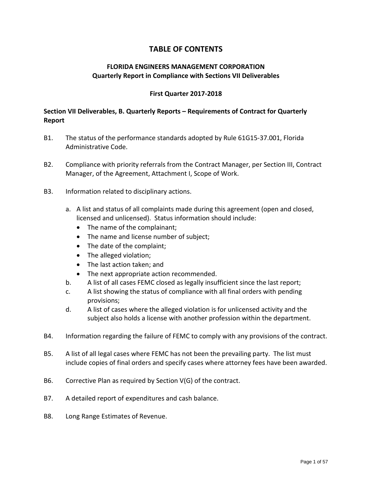#### **TABLE OF CONTENTS**

#### **FLORIDA ENGINEERS MANAGEMENT CORPORATION Quarterly Report in Compliance with Sections VII Deliverables**

#### **First Quarter 2017-2018**

#### **Section VII Deliverables, B. Quarterly Reports – Requirements of Contract for Quarterly Report**

- B1. The status of the performance standards adopted by Rule 61G15-37.001, Florida Administrative Code.
- B2. Compliance with priority referrals from the Contract Manager, per Section III, Contract Manager, of the Agreement, Attachment I, Scope of Work.
- B3. Information related to disciplinary actions.
	- a. A list and status of all complaints made during this agreement (open and closed, licensed and unlicensed). Status information should include:
		- The name of the complainant;
		- The name and license number of subject;
		- The date of the complaint;
		- The alleged violation;
		- The last action taken; and
		- The next appropriate action recommended.
	- b. A list of all cases FEMC closed as legally insufficient since the last report;
	- c. A list showing the status of compliance with all final orders with pending provisions;
	- d. A list of cases where the alleged violation is for unlicensed activity and the subject also holds a license with another profession within the department.
- B4. Information regarding the failure of FEMC to comply with any provisions of the contract.
- B5. A list of all legal cases where FEMC has not been the prevailing party. The list must include copies of final orders and specify cases where attorney fees have been awarded.
- B6. Corrective Plan as required by Section V(G) of the contract.
- B7. A detailed report of expenditures and cash balance.
- B8. Long Range Estimates of Revenue.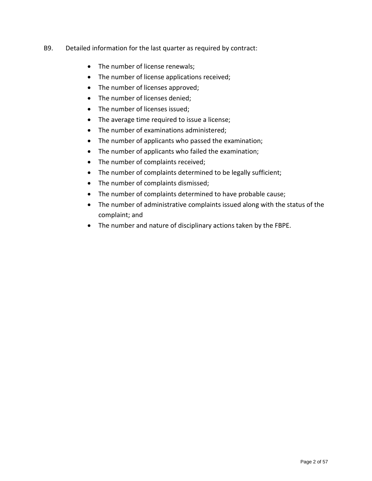#### B9. Detailed information for the last quarter as required by contract:

- The number of license renewals;
- The number of license applications received;
- The number of licenses approved;
- The number of licenses denied;
- The number of licenses issued;
- The average time required to issue a license;
- The number of examinations administered;
- The number of applicants who passed the examination;
- The number of applicants who failed the examination;
- The number of complaints received;
- The number of complaints determined to be legally sufficient;
- The number of complaints dismissed;
- The number of complaints determined to have probable cause;
- The number of administrative complaints issued along with the status of the complaint; and
- The number and nature of disciplinary actions taken by the FBPE.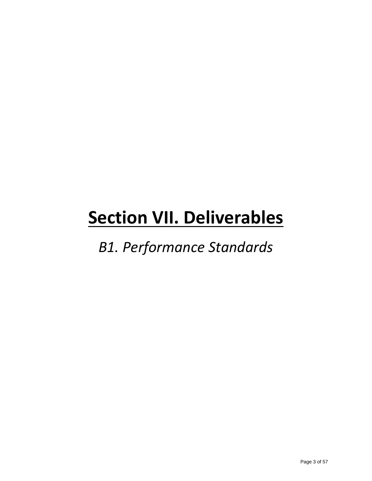*B1. Performance Standards*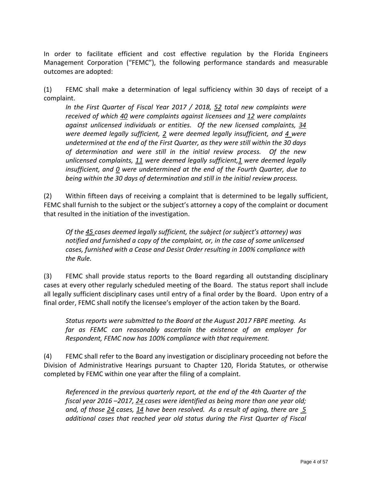In order to facilitate efficient and cost effective regulation by the Florida Engineers Management Corporation ("FEMC"), the following performance standards and measurable outcomes are adopted:

(1) FEMC shall make a determination of legal sufficiency within 30 days of receipt of a complaint.

*In the First Quarter of Fiscal Year 2017 / 2018, 52 total new complaints were received of which 40 were complaints against licensees and 12 were complaints against unlicensed individuals or entities. Of the new licensed complaints, 34 were deemed legally sufficient, 2 were deemed legally insufficient, and 4 were undetermined at the end of the First Quarter, as they were still within the 30 days of determination and were still in the initial review process. Of the new unlicensed complaints, 11 were deemed legally sufficient,1 were deemed legally insufficient, and 0 were undetermined at the end of the Fourth Quarter, due to being within the 30 days of determination and still in the initial review process.*

(2) Within fifteen days of receiving a complaint that is determined to be legally sufficient, FEMC shall furnish to the subject or the subject's attorney a copy of the complaint or document that resulted in the initiation of the investigation.

*Of the 45 cases deemed legally sufficient, the subject (or subject's attorney) was notified and furnished a copy of the complaint, or, in the case of some unlicensed cases, furnished with a Cease and Desist Order resulting in 100% compliance with the Rule.*

(3) FEMC shall provide status reports to the Board regarding all outstanding disciplinary cases at every other regularly scheduled meeting of the Board. The status report shall include all legally sufficient disciplinary cases until entry of a final order by the Board. Upon entry of a final order, FEMC shall notify the licensee's employer of the action taken by the Board.

*Status reports were submitted to the Board at the August 2017 FBPE meeting. As far as FEMC can reasonably ascertain the existence of an employer for Respondent, FEMC now has 100% compliance with that requirement.* 

(4) FEMC shall refer to the Board any investigation or disciplinary proceeding not before the Division of Administrative Hearings pursuant to Chapter 120, Florida Statutes, or otherwise completed by FEMC within one year after the filing of a complaint.

*Referenced in the previous quarterly report, at the end of the 4th Quarter of the fiscal year 2016 –2017, 24 cases were identified as being more than one year old; and, of those 24 cases, 14 have been resolved. As a result of aging, there are 5 additional cases that reached year old status during the First Quarter of Fiscal*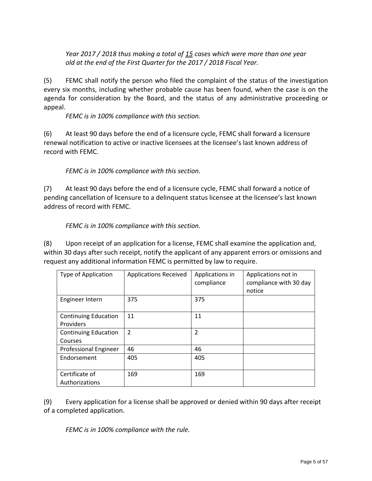*Year 2017 / 2018 thus making a total of 15 cases which were more than one year old at the end of the First Quarter for the 2017 / 2018 Fiscal Year.* 

(5) FEMC shall notify the person who filed the complaint of the status of the investigation every six months, including whether probable cause has been found, when the case is on the agenda for consideration by the Board, and the status of any administrative proceeding or appeal.

*FEMC is in 100% compliance with this section.* 

(6) At least 90 days before the end of a licensure cycle, FEMC shall forward a licensure renewal notification to active or inactive licensees at the licensee's last known address of record with FEMC.

*FEMC is in 100% compliance with this section.*

(7) At least 90 days before the end of a licensure cycle, FEMC shall forward a notice of pending cancellation of licensure to a delinquent status licensee at the licensee's last known address of record with FEMC.

*FEMC is in 100% compliance with this section.*

(8) Upon receipt of an application for a license, FEMC shall examine the application and, within 30 days after such receipt, notify the applicant of any apparent errors or omissions and request any additional information FEMC is permitted by law to require.

| Type of Application                      | <b>Applications Received</b> | Applications in<br>compliance | Applications not in<br>compliance with 30 day<br>notice |
|------------------------------------------|------------------------------|-------------------------------|---------------------------------------------------------|
| Engineer Intern                          | 375                          | 375                           |                                                         |
| <b>Continuing Education</b><br>Providers | 11                           | 11                            |                                                         |
| <b>Continuing Education</b><br>Courses   | $\overline{2}$               | $\overline{2}$                |                                                         |
| <b>Professional Engineer</b>             | 46                           | 46                            |                                                         |
| Endorsement                              | 405                          | 405                           |                                                         |
| Certificate of<br>Authorizations         | 169                          | 169                           |                                                         |

(9) Every application for a license shall be approved or denied within 90 days after receipt of a completed application.

*FEMC is in 100% compliance with the rule.*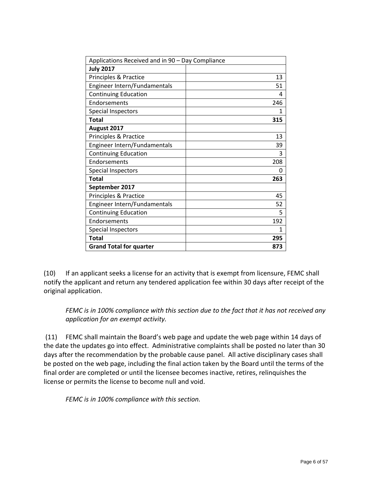| Applications Received and in 90 - Day Compliance |     |
|--------------------------------------------------|-----|
| <b>July 2017</b>                                 |     |
| Principles & Practice                            | 13  |
| Engineer Intern/Fundamentals                     | 51  |
| <b>Continuing Education</b>                      | 4   |
| Endorsements                                     | 246 |
| <b>Special Inspectors</b>                        | 1   |
| <b>Total</b>                                     | 315 |
| August 2017                                      |     |
| Principles & Practice                            | 13  |
| Engineer Intern/Fundamentals                     | 39  |
| <b>Continuing Education</b>                      | 3   |
| Endorsements                                     | 208 |
| <b>Special Inspectors</b>                        | 0   |
| <b>Total</b>                                     | 263 |
| September 2017                                   |     |
| Principles & Practice                            | 45  |
| Engineer Intern/Fundamentals                     | 52  |
| <b>Continuing Education</b>                      | 5   |
| Endorsements                                     | 192 |
| Special Inspectors                               | 1   |
| <b>Total</b>                                     | 295 |
| <b>Grand Total for quarter</b>                   | 873 |

(10) If an applicant seeks a license for an activity that is exempt from licensure, FEMC shall notify the applicant and return any tendered application fee within 30 days after receipt of the original application.

*FEMC is in 100% compliance with this section due to the fact that it has not received any application for an exempt activity.* 

(11) FEMC shall maintain the Board's web page and update the web page within 14 days of the date the updates go into effect. Administrative complaints shall be posted no later than 30 days after the recommendation by the probable cause panel. All active disciplinary cases shall be posted on the web page, including the final action taken by the Board until the terms of the final order are completed or until the licensee becomes inactive, retires, relinquishes the license or permits the license to become null and void.

*FEMC is in 100% compliance with this section.*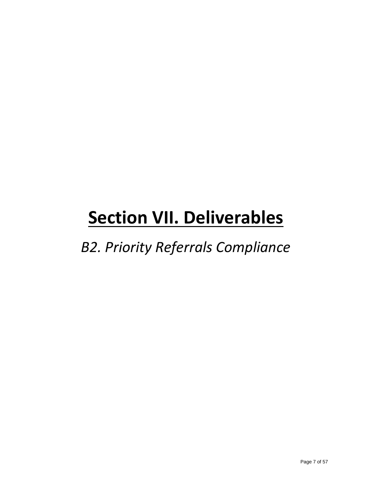*B2. Priority Referrals Compliance*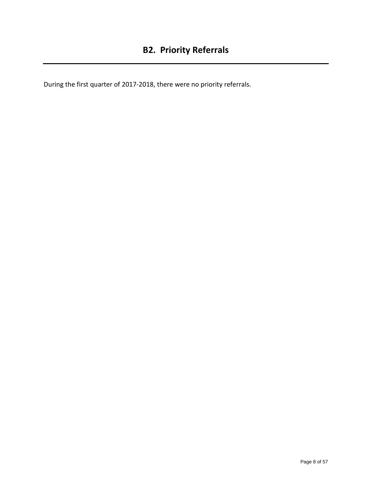During the first quarter of 2017-2018, there were no priority referrals.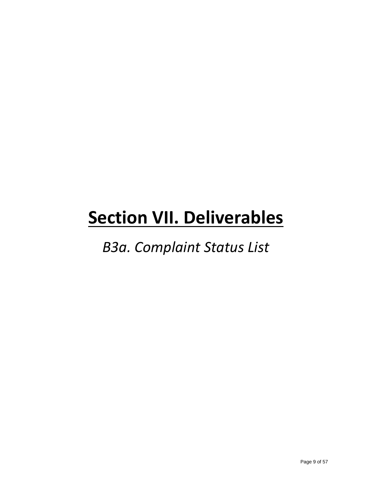### *B3a. Complaint Status List*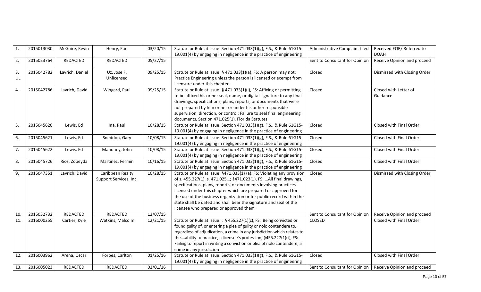| 1.  | 2015013030 | McGuire, Kevin  | Henry, Earl            | 03/20/15 | Statute or Rule at Issue: Section 471.033(1)(g), F.S., & Rule 61G15-     | Administrative Complaint filed | Received EOR/Referred to     |
|-----|------------|-----------------|------------------------|----------|--------------------------------------------------------------------------|--------------------------------|------------------------------|
|     |            |                 |                        |          | 19.001(4) by engaging in negligence in the practice of engineering       |                                | <b>DOAH</b>                  |
| 2.  | 2015023764 | <b>REDACTED</b> | <b>REDACTED</b>        | 05/27/15 |                                                                          | Sent to Consultant for Opinion | Receive Opinion and proceed  |
|     |            |                 |                        |          |                                                                          |                                |                              |
| 3.  | 2015042782 | Lavrich, Daniel | Uz, Jose F.            | 09/25/15 | Statute or Rule at Issue: § 471.033(1)(a), FS: A person may not:         | Closed                         | Dismissed with Closing Order |
| UL  |            |                 | Unlicensed             |          | Practice Engineering unless the person is licensed or exempt from        |                                |                              |
|     |            |                 |                        |          | licensure under this chapter                                             |                                |                              |
| 4.  | 2015042786 | Lavrich, David  | Wingard, Paul          | 09/25/15 | Statute or Rule at Issue: § 471.033(1)(j), FS: Affixing or permitting    | Closed                         | Closed with Letter of        |
|     |            |                 |                        |          | to be affixed his or her seal, name, or digital signature to any final   |                                | Guidance                     |
|     |            |                 |                        |          | drawings, specifications, plans, reports, or documents that were         |                                |                              |
|     |            |                 |                        |          | not prepared by him or her or under his or her responsible               |                                |                              |
|     |            |                 |                        |          | supervision, direction, or control; Failure to seal final engineering    |                                |                              |
|     |            |                 |                        |          | documents, Section 471.025(1), Florida Statutes                          |                                |                              |
| 5.  | 2015045620 | Lewis, Ed       | Ina, Paul              | 10/28/15 | Statute or Rule at Issue: Section 471.033(1)(g), F.S., & Rule 61G15-     | Closed                         | Closed with Final Order      |
|     |            |                 |                        |          | 19.001(4) by engaging in negligence in the practice of engineering       |                                |                              |
| 6.  | 2015045621 | Lewis, Ed       | Sneddon, Gary          | 10/08/15 | Statute or Rule at Issue: Section 471.033(1)(g), F.S., & Rule 61G15-     | Closed                         | Closed with Final Order      |
|     |            |                 |                        |          | 19.001(4) by engaging in negligence in the practice of engineering       |                                |                              |
| 7.  | 2015045622 | Lewis, Ed       | Mahoney, John          | 10/08/15 | Statute or Rule at Issue: Section 471.033(1)(g), F.S., & Rule 61G15-     | Closed                         | Closed with Final Order      |
|     |            |                 |                        |          | 19.001(4) by engaging in negligence in the practice of engineering       |                                |                              |
| 8.  | 2015045726 | Rios, Zobeyda   | Martinez. Fermin       | 10/16/15 | Statute or Rule at Issue: Section 471.033(1)(g), F.S., & Rule 61G15-     | Closed                         | Closed with Final Order      |
|     |            |                 |                        |          | 19.001(4) by engaging in negligence in the practice of engineering       |                                |                              |
| 9.  | 2015047351 | Lavrich, David  | Caribbean Realty       | 10/28/15 | Statute or Rule at Issue: §471.033(1) (a), FS: Violating any provision   | Closed                         | Dismissed with Closing Order |
|     |            |                 | Support Services, Inc. |          | of s. 455.227(1), s. 471.025; §471.023(1), FS: All final drawings,       |                                |                              |
|     |            |                 |                        |          | specifications, plans, reports, or documents involving practices         |                                |                              |
|     |            |                 |                        |          | licensed under this chapter which are prepared or approved for           |                                |                              |
|     |            |                 |                        |          | the use of the business organization or for public record within the     |                                |                              |
|     |            |                 |                        |          | state shall be dated and shall bear the signature and seal of the        |                                |                              |
|     |            |                 |                        |          | licensee who prepared or approved them                                   |                                |                              |
| 10. | 2015052732 | <b>REDACTED</b> | REDACTED               | 12/07/15 |                                                                          | Sent to Consultant for Opinion | Receive Opinion and proceed  |
| 11. | 2016000255 | Cartier, Kyle   | Watkins, Malcolm       | 12/21/15 | Statute or Rule at Issue: : § 455.227(1)(c), FS: Being convicted or      | <b>CLOSED</b>                  | Closed with Final Order      |
|     |            |                 |                        |          | found guilty of, or entering a plea of guilty or nolo contendere to,     |                                |                              |
|     |            |                 |                        |          | regardless of adjudication, a crime in any jurisdiction which relates to |                                |                              |
|     |            |                 |                        |          | theability to practice, a licensee's profession; §455.227(1)(t), FS:     |                                |                              |
|     |            |                 |                        |          | Failing to report in writing a conviction or plea of nolo contendere, a  |                                |                              |
|     |            |                 |                        |          | crime in any jurisdiction                                                |                                |                              |
| 12. | 2016003962 | Arena, Oscar    | Forbes, Carlton        | 01/25/16 | Statute or Rule at Issue: Section 471.033(1)(g), F.S., & Rule 61G15-     | Closed                         | Closed with Final Order      |
|     |            |                 |                        |          | 19.001(4) by engaging in negligence in the practice of engineering       |                                |                              |
| 13. | 2016005023 | REDACTED        | <b>REDACTED</b>        | 02/01/16 |                                                                          | Sent to Consultant for Opinion | Receive Opinion and proceed  |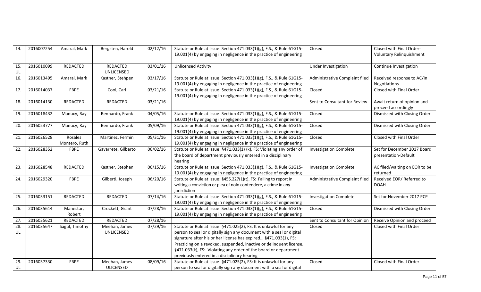| 14. | 2016007254 | Amaral, Mark    | Bergsten, Harold    | 02/12/16 | Statute or Rule at Issue: Section 471.033(1)(g), F.S., & Rule 61G15-  | Closed                         | Closed with Final Order-                           |
|-----|------------|-----------------|---------------------|----------|-----------------------------------------------------------------------|--------------------------------|----------------------------------------------------|
|     |            |                 |                     |          | 19.001(4) by engaging in negligence in the practice of engineering    |                                | Voluntary Relinquishment                           |
|     |            |                 |                     |          |                                                                       |                                |                                                    |
| 15. | 2016010099 | REDACTED        | REDACTED            | 03/01/16 | <b>Unlicensed Activity</b>                                            | Under Investigation            | Continue Investigation                             |
| UL  |            |                 | UNLICENSED          |          |                                                                       |                                |                                                    |
| 16. | 2016013495 | Amaral, Mark    | Kastner, Stehpen    | 03/17/16 | Statute or Rule at Issue: Section 471.033(1)(g), F.S., & Rule 61G15-  | Administrative Complaint filed | Received response to AC/In                         |
|     |            |                 |                     |          | 19.001(4) by engaging in negligence in the practice of engineering    |                                | Negotiations                                       |
| 17. | 2016014037 | <b>FBPE</b>     | Cool, Carl          | 03/21/16 | Statute or Rule at Issue: Section 471.033(1)(g), F.S., & Rule 61G15-  | Closed                         | Closed with Final Order                            |
|     |            |                 |                     |          | 19.001(4) by engaging in negligence in the practice of engineering    |                                |                                                    |
| 18. | 2016014130 | REDACTED        | REDACTED            | 03/21/16 |                                                                       | Sent to Consultant for Review  | Await return of opinion and<br>proceed accordingly |
| 19. | 2016018432 | Manucy, Ray     | Bennardo, Frank     | 04/05/16 | Statute or Rule at Issue: Section 471.033(1)(g), F.S., & Rule 61G15-  | Closed                         | Dismissed with Closing Order                       |
|     |            |                 |                     |          | 19.001(4) by engaging in negligence in the practice of engineering    |                                |                                                    |
| 20. | 2016023777 | Manucy, Ray     | Bennardo, Frank     | 05/09/16 | Statute or Rule at Issue: Section 471.033(1)(g), F.S., & Rule 61G15-  | Closed                         | Dismissed with Closing Order                       |
|     |            |                 |                     |          | 19.001(4) by engaging in negligence in the practice of engineering    |                                |                                                    |
| 21. | 2016026528 | Rosales         | Martinez, Fermin    | 05/31/16 | Statute or Rule at Issue: Section 471.033(1)(g), F.S., & Rule 61G15-  | Closed                         | Closed with Final Order                            |
|     |            | Montero, Ruth   |                     |          | 19.001(4) by engaging in negligence in the practice of engineering    |                                |                                                    |
| 22. | 2016028352 | <b>FBPE</b>     | Gavarrete, Gilberto | 06/02/16 | Statute or Rule at Issue: §471.033(1) (k), FS: Violating any order of | <b>Investigation Complete</b>  | Set for December 2017 Board                        |
|     |            |                 |                     |          | the board of department previously entered in a disciplinary          |                                | presentation-Default                               |
|     |            |                 |                     |          | hearing                                                               |                                |                                                    |
| 23. | 2016028548 | REDACTED        | Kastner, Stephen    | 06/15/16 | Statute or Rule at Issue: Section 471.033(1)(g), F.S., & Rule 61G15-  | <b>Investigation Complete</b>  | AC filed/waiting on EOR to be                      |
|     |            |                 |                     |          | 19.001(4) by engaging in negligence in the practice of engineering    |                                | returned                                           |
| 24. | 2016029320 | FBPE            | Gilberti, Joseph    | 06/20/16 | Statute or Rule at Issue: §455.227(1)(t), FS: Failing to report in    | Administrative Complaint filed | Received EOR/ Referred to                          |
|     |            |                 |                     |          | writing a conviction or plea of nolo contendere, a crime in any       |                                | <b>DOAH</b>                                        |
|     |            |                 |                     |          | jurisdiction                                                          |                                |                                                    |
| 25. | 2016033151 | <b>REDACTED</b> | REDACTED            | 07/14/16 | Statute or Rule at Issue: Section 471.033(1)(g), F.S., & Rule 61G15-  | <b>Investigation Complete</b>  | Set for November 2017 PCP                          |
|     |            |                 |                     |          | 19.001(4) by engaging in negligence in the practice of engineering    |                                |                                                    |
| 26. | 2016035614 | Manestar,       | Crockett, Grant     | 07/28/16 | Statute or Rule at Issue: Section 471.033(1)(g), F.S., & Rule 61G15-  | Closed                         | Dismissed with Closing Order                       |
|     |            | Robert          |                     |          | 19.001(4) by engaging in negligence in the practice of engineering    |                                |                                                    |
| 27. | 2016035621 | REDACTED        | REDACTED            | 07/28/16 |                                                                       | Sent to Consultant for Opinion | Receive Opinion and proceed                        |
| 28. | 2016035647 | Sagul, Timothy  | Meehan, James       | 07/29/16 | Statute or Rule at Issue: §471.025(2), FS: It is unlawful for any     | Closed                         | Closed with Final Order                            |
| UL  |            |                 | UNLICENSED          |          | person to seal or digitally sign any document with a seal or digital  |                                |                                                    |
|     |            |                 |                     |          | signature after his or her license has expired §471.033(1), FS:       |                                |                                                    |
|     |            |                 |                     |          | Practicing on a revoked, suspended, inactive or delinquent license.   |                                |                                                    |
|     |            |                 |                     |          | §471.033(k), FS: Violating any order of the board or department       |                                |                                                    |
|     |            |                 |                     |          | previously entered in a disciplinary hearing                          |                                |                                                    |
| 29. | 2016037330 | FBPE            | Meehan, James       | 08/09/16 | Statute or Rule at Issue: §471.025(2), FS: It is unlawful for any     | Closed                         | Closed with Final Order                            |
| UL  |            |                 | <b>ULICENSED</b>    |          | person to seal or digitally sign any document with a seal or digital  |                                |                                                    |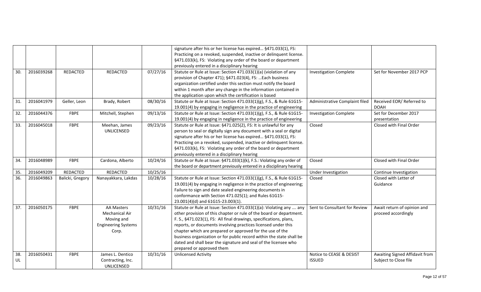|           |            |                  |                                                                                          |          | signature after his or her license has expired §471.033(1), FS:<br>Practicing on a revoked, suspended, inactive or delinquent license.<br>§471.033(k), FS: Violating any order of the board or department<br>previously entered in a disciplinary hearing                                                                                                                                                                                                                                                              |                                           |                                                         |
|-----------|------------|------------------|------------------------------------------------------------------------------------------|----------|------------------------------------------------------------------------------------------------------------------------------------------------------------------------------------------------------------------------------------------------------------------------------------------------------------------------------------------------------------------------------------------------------------------------------------------------------------------------------------------------------------------------|-------------------------------------------|---------------------------------------------------------|
| 30.       | 2016039268 | REDACTED         | REDACTED                                                                                 | 07/27/16 | Statute or Rule at Issue: Section 471.033(1)(a) (violation of any<br>provision of Chapter 471); §471.023(4), FS:  Each business<br>organization certified under this section must notify the board<br>within 1 month after any change in the information contained in<br>the application upon which the certification is based                                                                                                                                                                                         | <b>Investigation Complete</b>             | Set for November 2017 PCP                               |
| 31.       | 2016041979 | Geller, Leon     | Brady, Robert                                                                            | 08/30/16 | Statute or Rule at Issue: Section 471.033(1)(g), F.S., & Rule 61G15-<br>19.001(4) by engaging in negligence in the practice of engineering                                                                                                                                                                                                                                                                                                                                                                             | Administrative Complaint filed            | Received EOR/Referred to<br><b>DOAH</b>                 |
| 32.       | 2016044376 | <b>FBPE</b>      | Mitchell, Stephen                                                                        | 09/13/16 | Statute or Rule at Issue: Section 471.033(1)(g), F.S., & Rule 61G15-<br>19.001(4) by engaging in negligence in the practice of engineering                                                                                                                                                                                                                                                                                                                                                                             | <b>Investigation Complete</b>             | Set for December 2017<br>presentation                   |
| 33.       | 2016045018 | <b>FBPE</b>      | Meehan, James<br>UNLICENSED                                                              | 09/23/16 | Statute or Rule at Issue: §471.025(2), FS: It is unlawful for any<br>person to seal or digitally sign any document with a seal or digital<br>signature after his or her license has expired §471.033(1), FS:<br>Practicing on a revoked, suspended, inactive or delinquent license.<br>§471.033(k), FS: Violating any order of the board or department<br>previously entered in a disciplinary hearing                                                                                                                 | Closed                                    | Closed with Final Order                                 |
| 34.       | 2016048989 | <b>FBPE</b>      | Cardona, Alberto                                                                         | 10/24/16 | Statute or Rule at Issue: §471.033(1)(k), F.S.: Violating any order of<br>the board or department previously entered in a disciplinary hearing                                                                                                                                                                                                                                                                                                                                                                         | Closed                                    | Closed with Final Order                                 |
| 35.       | 2016049209 | <b>REDACTED</b>  | REDACTED                                                                                 | 10/25/16 |                                                                                                                                                                                                                                                                                                                                                                                                                                                                                                                        | Under Investigation                       | Continue Investigation                                  |
| 36.       | 2016049863 | Balicki, Gregory | Nanayakkara, Lakdas                                                                      | 10/28/16 | Statute or Rule at Issue: Section 471.033(1)(g), F.S., & Rule 61G15-<br>19.001(4) by engaging in negligence in the practice of engineering;<br>Failure to sign and date sealed engineering documents in<br>conformance with Section 471.025(1); and Rules 61G15-<br>23.001(4)(d) and 61G15-23.003(1).                                                                                                                                                                                                                  | Closed                                    | Closed with Letter of<br>Guidance                       |
| 37.       | 2016050175 | <b>FBPE</b>      | <b>AA Masters</b><br>Mechanical Air<br>Moving and<br><b>Engineering Systems</b><br>Corp. | 10/31/16 | Statute or Rule at Issue: Section 471.033(1)(a): Violating any  any<br>other provision of this chapter or rule of the board or department.<br>F. S., §471.023(1), FS: All final drawings, specifications, plans,<br>reports, or documents involving practices licensed under this<br>chapter which are prepared or approved for the use of the<br>business organization or for public record within the state shall be<br>dated and shall bear the signature and seal of the licensee who<br>prepared or approved them | Sent to Consultant for Review             | Await return of opinion and<br>proceed accordingly      |
| 38.<br>UL | 2016050431 | <b>FBPE</b>      | James L. Dentico<br>Contracting, Inc.<br>UNLICENSED                                      | 10/31/16 | <b>Unlicensed Activity</b>                                                                                                                                                                                                                                                                                                                                                                                                                                                                                             | Notice to CEASE & DESIST<br><b>ISSUED</b> | Awaiting Signed Affidavit from<br>Subject to Close file |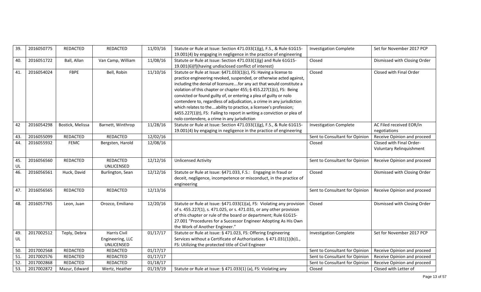| 39.               | 2016050775 | REDACTED         | REDACTED          | 11/03/16 | Statute or Rule at Issue: Section 471.033(1)(g), F.S., & Rule 61G15-                                                     | <b>Investigation Complete</b>  | Set for November 2017 PCP    |
|-------------------|------------|------------------|-------------------|----------|--------------------------------------------------------------------------------------------------------------------------|--------------------------------|------------------------------|
|                   |            |                  |                   |          | 19.001(4) by engaging in negligence in the practice of engineering                                                       |                                |                              |
| 40.               | 2016051722 | Ball, Allan      | Van Camp, William | 11/08/16 | Statute or Rule at Issue: Section 471.033(1)(g) and Rule 61G15-<br>19.001(6)(f)(having undisclosed conflict of interest) | Closed                         | Dismissed with Closing Order |
| 41.               | 2016054024 | FBPE             | Bell, Robin       | 11/10/16 | Statute or Rule at Issue: §471.033(1)(c), FS: Having a license to                                                        | Closed                         | Closed with Final Order      |
|                   |            |                  |                   |          | practice engineering revoked, suspended, or otherwise acted against,                                                     |                                |                              |
|                   |            |                  |                   |          | including the denial of licensurefor any act that would constitute a                                                     |                                |                              |
|                   |            |                  |                   |          | violation of this chapter or chapter 455; § 455.227(1)(c), FS: Being                                                     |                                |                              |
|                   |            |                  |                   |          | convicted or found guilty of, or entering a plea of guilty or nolo                                                       |                                |                              |
|                   |            |                  |                   |          | contendere to, regardless of adjudication, a crime in any jurisdiction                                                   |                                |                              |
|                   |            |                  |                   |          | which relates to theability to practice, a licensee's profession;                                                        |                                |                              |
|                   |            |                  |                   |          | §455.227(1)(t), FS: Failing to report in writing a conviction or plea of                                                 |                                |                              |
|                   |            |                  |                   |          | nolo contendere, a crime in any jurisdiction                                                                             |                                |                              |
| 42                | 2016054298 | Bostick, Melissa | Barnett, Winthrop | 11/28/16 | Statute or Rule at Issue: Section 471.033(1)(g), F.S., & Rule 61G15-                                                     | <b>Investigation Complete</b>  | AC Filed received EOR/in     |
|                   |            |                  |                   |          | 19.001(4) by engaging in negligence in the practice of engineering                                                       |                                | negotiations                 |
| 43.               | 2016055099 | REDACTED         | REDACTED          | 12/02/16 |                                                                                                                          | Sent to Consultant for Opinion | Receive Opinion and proceed  |
| 44.               | 2016055932 | <b>FEMC</b>      | Bergsten, Harold  | 12/08/16 |                                                                                                                          | Closed                         | Closed with Final Order-     |
|                   |            |                  |                   |          |                                                                                                                          |                                | Voluntary Relinquishment     |
|                   |            |                  |                   |          |                                                                                                                          |                                |                              |
| 45.               | 2016056560 | <b>REDACTED</b>  | REDACTED          | 12/12/16 | <b>Unlicensed Activity</b>                                                                                               | Sent to Consultant for Opinion | Receive Opinion and proceed  |
| UL                |            |                  | UNLICENSED        |          |                                                                                                                          |                                |                              |
| 46.               | 2016056561 | Huck, David      | Burlington, Sean  | 12/12/16 | Statute or Rule at Issue: §471.033, F.S.: Engaging in fraud or                                                           | Closed                         | Dismissed with Closing Order |
|                   |            |                  |                   |          | deceit, negligence, incompetence or misconduct, in the practice of                                                       |                                |                              |
|                   |            |                  |                   |          | engineering                                                                                                              |                                |                              |
| 47.               | 2016056565 | REDACTED         | REDACTED          | 12/13/16 |                                                                                                                          | Sent to Consultant for Opinion | Receive Opinion and proceed  |
|                   |            |                  |                   |          |                                                                                                                          |                                |                              |
| 48.               | 2016057765 | Leon, Juan       | Orozco, Emiliano  | 12/20/16 | Statute or Rule at Issue: §471.033(1)(a), FS: Violating any provision                                                    | Closed                         | Dismissed with Closing Order |
|                   |            |                  |                   |          | of s. 455.227(1), s. 471.025, or s. 471.031, or any other provision                                                      |                                |                              |
|                   |            |                  |                   |          | of this chapter or rule of the board or department; Rule 61G15-                                                          |                                |                              |
|                   |            |                  |                   |          | 27.001 "Procedures for a Successor Engineer Adopting As His Own                                                          |                                |                              |
|                   |            |                  |                   |          | the Work of Another Engineer."                                                                                           |                                |                              |
| 49.               | 2017002512 | Teply, Debra     | Harris Civil      | 01/17/17 | Statute or Rule at Issue: § 471.023, FS: Offering Engineering                                                            | <b>Investigation Complete</b>  | Set for November 2017 PCP    |
| UL                |            |                  | Engineering, LLC  |          | Services without a Certificate of Authorization. § 471.031(1)(b)1.,                                                      |                                |                              |
|                   |            |                  | UNLICENSED        |          | FS: Utilizing the protected title of Civil Engineer                                                                      |                                |                              |
| 50.               | 2017002568 | REDACTED         | REDACTED          | 01/17/17 |                                                                                                                          | Sent to Consultant for Opinion | Receive Opinion and proceed  |
| $\overline{51}$   | 2017002576 | <b>REDACTED</b>  | REDACTED          | 01/17/17 |                                                                                                                          | Sent to Consultant for Opinion | Receive Opinion and proceed  |
| 52.               | 2017002868 | REDACTED         | REDACTED          | 01/18/17 |                                                                                                                          | Sent to Consultant for Opinion | Receive Opinion and proceed  |
| $\overline{53}$ . | 2017002872 | Mazur, Edward    | Wertz, Heather    | 01/19/19 | Statute or Rule at Issue: § 471.033(1) (a), FS: Violating any                                                            | Closed                         | Closed with Letter of        |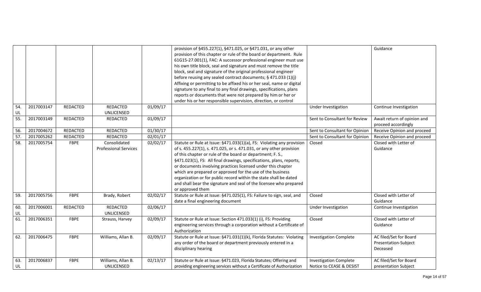|           |            |                 |                                              |          | provision of §455.227(1), §471.025, or §471.031, or any other<br>provision of this chapter or rule of the board or department. Rule<br>61G15-27.001(1), FAC: A successor professional engineer must use<br>his own title block, seal and signature and must remove the title<br>block, seal and signature of the original professional engineer<br>before reusing any sealed contract documents; § 471.033 (1)(j)<br>Affixing or permitting to be affixed his or her seal, name or digital<br>signature to any final to any final drawings, specifications, plans<br>reports or documents that were not prepared by him or her or<br>under his or her responsible supervision, direction, or control |                                                           | Guidance                                                   |
|-----------|------------|-----------------|----------------------------------------------|----------|------------------------------------------------------------------------------------------------------------------------------------------------------------------------------------------------------------------------------------------------------------------------------------------------------------------------------------------------------------------------------------------------------------------------------------------------------------------------------------------------------------------------------------------------------------------------------------------------------------------------------------------------------------------------------------------------------|-----------------------------------------------------------|------------------------------------------------------------|
| 54.<br>UL | 2017003147 | <b>REDACTED</b> | REDACTED<br><b>UNLICENSED</b>                | 01/09/17 |                                                                                                                                                                                                                                                                                                                                                                                                                                                                                                                                                                                                                                                                                                      | Under Investigation                                       | Continue Investigation                                     |
| 55.       | 2017003149 | REDACTED        | REDACTED                                     | 01/09/17 |                                                                                                                                                                                                                                                                                                                                                                                                                                                                                                                                                                                                                                                                                                      | Sent to Consultant for Review                             | Await return of opinion and<br>proceed accordingly         |
| 56.       | 2017004672 | REDACTED        | REDACTED                                     | 01/30/17 |                                                                                                                                                                                                                                                                                                                                                                                                                                                                                                                                                                                                                                                                                                      | Sent to Consultant for Opinion                            | Receive Opinion and proceed                                |
| 57.       | 2017005262 | REDACTED        | REDACTED                                     | 02/01/17 |                                                                                                                                                                                                                                                                                                                                                                                                                                                                                                                                                                                                                                                                                                      | Sent to Consultant for Opinion                            | Receive Opinion and proceed                                |
| 58.       | 2017005754 | FBPE            | Consolidated<br><b>Professional Services</b> | 02/02/17 | Statute or Rule at Issue: §471.033(1)(a), FS: Violating any provision<br>of s. 455.227(1), s. 471.025, or s. 471.031, or any other provision<br>of this chapter or rule of the board or department; F. S.,<br>§471.023(1), FS: All final drawings, specifications, plans, reports,<br>or documents involving practices licensed under this chapter<br>which are prepared or approved for the use of the business<br>organization or for public record within the state shall be dated<br>and shall bear the signature and seal of the licensee who prepared<br>or approved them                                                                                                                      | Closed                                                    | Closed with Letter of<br>Guidance                          |
| 59.       | 2017005756 | <b>FBPE</b>     | Brady, Robert                                | 02/02/17 | Statute or Rule at Issue: §471.025(1), FS: Failure to sign, seal, and<br>date a final engineering document                                                                                                                                                                                                                                                                                                                                                                                                                                                                                                                                                                                           | Closed                                                    | Closed with Letter of<br>Guidance                          |
| 60.<br>UL | 2017006001 | <b>REDACTED</b> | REDACTED<br>UNLICENSED                       | 02/06/17 |                                                                                                                                                                                                                                                                                                                                                                                                                                                                                                                                                                                                                                                                                                      | Under Investigation                                       | Continue Investigation                                     |
| 61.       | 2017006351 | <b>FBPE</b>     | Strauss, Harvey                              | 02/09/17 | Statute or Rule at Issue: Section 471.033(1) (i), FS: Providing<br>engineering services through a corporation without a Certificate of<br>Authorization                                                                                                                                                                                                                                                                                                                                                                                                                                                                                                                                              | Closed                                                    | Closed with Letter of<br>Guidance                          |
| 62.       | 2017006475 | <b>FBPE</b>     | Williams, Allan B.                           | 02/09/17 | Statute or Rule at Issue: §471.031(1)(k), Florida Statutes: Violating<br>any order of the board or department previously entered in a<br>disciplinary hearing                                                                                                                                                                                                                                                                                                                                                                                                                                                                                                                                        | <b>Investigation Complete</b>                             | AC filed/Set for Board<br>Presentation-Subject<br>Deceased |
| 63.<br>UL | 2017006837 | <b>FBPE</b>     | Williams, Allan B.<br>UNLICENSED             | 02/13/17 | Statute or Rule at Issue: §471.023, Florida Statutes; Offering and<br>providing engineering services without a Certificate of Authorization                                                                                                                                                                                                                                                                                                                                                                                                                                                                                                                                                          | <b>Investigation Complete</b><br>Notice to CEASE & DESIST | AC filed/Set for Board<br>presentation Subject             |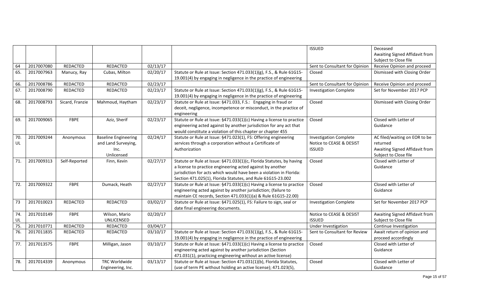|           |            |                 |                                                    |          |                                                                                                                                             | ISSUED                                                    | Deceased                                                |
|-----------|------------|-----------------|----------------------------------------------------|----------|---------------------------------------------------------------------------------------------------------------------------------------------|-----------------------------------------------------------|---------------------------------------------------------|
|           |            |                 |                                                    |          |                                                                                                                                             |                                                           | Awaiting Signed Affidavit from<br>Subject to Close file |
| 64        | 2017007080 | REDACTED        | REDACTED                                           | 02/13/17 |                                                                                                                                             | Sent to Consultant for Opinion                            | Receive Opinion and proceed                             |
| 65.       | 2017007963 | Manucy, Ray     | Cubas, Milton                                      | 02/20/17 | Statute or Rule at Issue: Section 471.033(1)(g), F.S., & Rule 61G15-                                                                        | Closed                                                    | Dismissed with Closing Order                            |
|           |            |                 |                                                    |          | 19.001(4) by engaging in negligence in the practice of engineering                                                                          |                                                           |                                                         |
| 66.       | 2017008786 | REDACTED        | REDACTED                                           | 02/23/17 |                                                                                                                                             | Sent to Consultant for Opinion                            | Receive Opinion and proceed                             |
| 67.       | 2017008790 | REDACTED        | REDACTED                                           | 02/23/17 | Statute or Rule at Issue: Section 471.033(1)(g), F.S., & Rule 61G15-                                                                        | <b>Investigation Complete</b>                             | Set for November 2017 PCP                               |
|           |            |                 |                                                    |          | 19.001(4) by engaging in negligence in the practice of engineering                                                                          |                                                           |                                                         |
| 68.       | 2017008793 | Sicard, Franzie | Mahmoud, Haytham                                   | 02/23/17 | Statute or Rule at Issue: §471.033, F.S.: Engaging in fraud or                                                                              | Closed                                                    | Dismissed with Closing Order                            |
|           |            |                 |                                                    |          | deceit, negligence, incompetence or misconduct, in the practice of                                                                          |                                                           |                                                         |
|           |            |                 |                                                    |          | engineering                                                                                                                                 |                                                           |                                                         |
| 69.       | 2017009065 | FBPE            | Aziz, Sherif                                       | 02/23/17 | Statute or Rule at Issue: §471.033(1)(c) Having a license to practice                                                                       | Closed                                                    | Closed with Letter of                                   |
|           |            |                 |                                                    |          | engineering acted against by another jurisdiction for any act that                                                                          |                                                           | Guidance                                                |
|           |            |                 |                                                    |          | would constitute a violation of this chapter or chapter 455                                                                                 |                                                           |                                                         |
| 70.<br>UL | 2017009244 | Anonymous       | <b>Baseline Engineering</b><br>and Land Surveying, | 02/24/17 | Statute or Rule at Issue: §471.023(1), FS: Offering engineering<br>services through a corporation without a Certificate of                  | <b>Investigation Complete</b><br>Notice to CEASE & DESIST | AC filed/waiting on EOR to be<br>returned               |
|           |            |                 | Inc.                                               |          | Authorization                                                                                                                               | <b>ISSUED</b>                                             | Awaiting Signed Affidavit from                          |
|           |            |                 | Unlicensed                                         |          |                                                                                                                                             |                                                           | Subject to Close file                                   |
| 71.       | 2017009313 | Self-Reported   | Finn, Kevin                                        | 02/27/17 | Statute or Rule at Issue: §471.033(1)(c, Florida Statutes, by having                                                                        | Closed                                                    | Closed with Letter of                                   |
|           |            |                 |                                                    |          | a license to practice engineering acted against by another                                                                                  |                                                           | Guidance                                                |
|           |            |                 |                                                    |          | jurisdiction for acts which would have been a violation in Florida:                                                                         |                                                           |                                                         |
|           |            |                 |                                                    |          | Section 471.025(1), Florida Statutes, and Rule 61G15-23.002                                                                                 |                                                           |                                                         |
| 72.       | 2017009322 | <b>FBPE</b>     | Dumack, Heath                                      | 02/27/17 | Statute or Rule at Issue: §471.033(1)(c) Having a license to practice                                                                       | Closed                                                    | Closed with Letter of                                   |
|           |            |                 |                                                    |          | engineering acted against by another jurisdiction; (failure to                                                                              |                                                           | Guidance                                                |
|           |            |                 |                                                    |          | maintain CE records, Section 471.033(1)(a) & Rule 61G15-22.00)                                                                              |                                                           |                                                         |
| 73        | 2017010023 | <b>REDACTED</b> | REDACTED                                           | 03/02/17 | Statute or Rule at Issue: §471.025(1), FS: Failure to sign, seal or                                                                         | <b>Investigation Complete</b>                             | Set for November 2017 PCP                               |
|           |            |                 |                                                    |          | date final engineering documents.                                                                                                           |                                                           |                                                         |
| 74.       | 2017010149 | <b>FBPE</b>     | Wilson, Mario                                      | 02/20/17 |                                                                                                                                             | Notice to CEASE & DESIST                                  | Awaiting Signed Affidavit from                          |
| UL        |            |                 | UNLICENSED                                         |          |                                                                                                                                             | <b>ISSUED</b>                                             | Subject to Close file                                   |
| 75.       | 2017010771 | REDACTED        | REDACTED                                           | 03/04/17 |                                                                                                                                             | Under Investigation                                       | Continue Investigation                                  |
| 76.       | 2017011835 | <b>REDACTED</b> | <b>REDACTED</b>                                    | 03/10/17 | Statute or Rule at Issue: Section 471.033(1)(g), F.S., & Rule 61G15-                                                                        | Sent to Consultant for Review                             | Await return of opinion and                             |
| 77.       | 2017013575 | <b>FBPE</b>     | Milligan, Jason                                    | 03/10/17 | 19.001(4) by engaging in negligence in the practice of engineering<br>Statute or Rule at Issue: §471.033(1)(c) Having a license to practice | Closed                                                    | proceed accordingly<br>Closed with Letter of            |
|           |            |                 |                                                    |          | engineering acted against by another jurisdiction (Section                                                                                  |                                                           | Guidance                                                |
|           |            |                 |                                                    |          | 471.031(1), practicing engineering without an active license)                                                                               |                                                           |                                                         |
| 78.       | 2017014339 | Anonymous       | TRC Worldwide                                      | 03/13/17 | Statute or Rule at Issue: Section 471.031(1)(b), Florida Statutes,                                                                          | Closed                                                    | Closed with Letter of                                   |
|           |            |                 | Engineering, Inc.                                  |          | (use of term PE without holding an active license); 471.023(5),                                                                             |                                                           | Guidance                                                |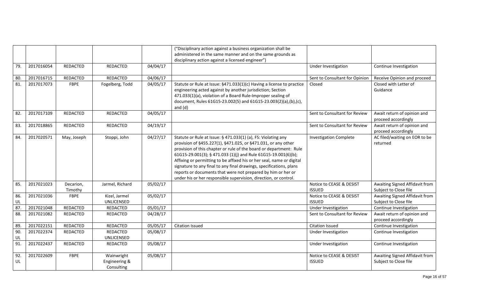|           |            |                      |                                           |          | ("Disciplinary action against a business organization shall be                                                                                                                                                                                                                                                                                                                                                                                                                                                                                             |                                           |                                                         |
|-----------|------------|----------------------|-------------------------------------------|----------|------------------------------------------------------------------------------------------------------------------------------------------------------------------------------------------------------------------------------------------------------------------------------------------------------------------------------------------------------------------------------------------------------------------------------------------------------------------------------------------------------------------------------------------------------------|-------------------------------------------|---------------------------------------------------------|
|           |            |                      |                                           |          | administered in the same manner and on the same grounds as<br>disciplinary action against a licensed engineer")                                                                                                                                                                                                                                                                                                                                                                                                                                            |                                           |                                                         |
| 79.       | 2017016054 | REDACTED             | REDACTED                                  | 04/04/17 |                                                                                                                                                                                                                                                                                                                                                                                                                                                                                                                                                            | Under Investigation                       | Continue Investigation                                  |
|           |            |                      |                                           |          |                                                                                                                                                                                                                                                                                                                                                                                                                                                                                                                                                            |                                           |                                                         |
| 80.       | 2017016715 | REDACTED             | REDACTED                                  | 04/06/17 |                                                                                                                                                                                                                                                                                                                                                                                                                                                                                                                                                            | Sent to Consultant for Opinion            | Receive Opinion and proceed                             |
| 81.       | 2017017073 | <b>FBPE</b>          | Fogelberg, Todd                           | 04/05/17 | Statute or Rule at Issue: §471.033(1)(c) Having a license to practice<br>engineering acted against by another jurisdiction; Section<br>471.033(1)(a), violation of a Board Rule-Improper sealing of<br>document, Rules 61G15-23.002(5) and 61G15-23.003(2)(a),(b),(c),<br>and $(d)$                                                                                                                                                                                                                                                                        | Closed                                    | Closed with Letter of<br>Guidance                       |
| 82.       | 2017017109 | REDACTED             | REDACTED                                  | 04/05/17 |                                                                                                                                                                                                                                                                                                                                                                                                                                                                                                                                                            | Sent to Consultant for Review             | Await return of opinion and<br>proceed accordingly      |
| 83.       | 2017018865 | REDACTED             | REDACTED                                  | 04/19/17 |                                                                                                                                                                                                                                                                                                                                                                                                                                                                                                                                                            | Sent to Consultant for Review             | Await return of opinion and<br>proceed accordingly      |
| 84.       | 2017020571 | May, Joseph          | Stoppi, John                              | 04/27/17 | Statute or Rule at Issue: § 471.033(1) (a), FS: Violating any<br>provision of §455.227(1), §471.025, or §471.031, or any other<br>provision of this chapter or rule of the board or department: Rule<br>61G15-29.001(3); § 471.033 (1)(j) and Rule 61G15-19.001(6)(b);<br>Affixing or permitting to be affixed his or her seal, name or digital<br>signature to any final to any final drawings, specifications, plans<br>reports or documents that were not prepared by him or her or<br>under his or her responsible supervision, direction, or control. | <b>Investigation Complete</b>             | AC filed/waiting on EOR to be<br>returned               |
| 85.       | 2017021023 | Decarion,<br>Timothy | Jarmel, Richard                           | 05/02/17 |                                                                                                                                                                                                                                                                                                                                                                                                                                                                                                                                                            | Notice to CEASE & DESIST<br><b>ISSUED</b> | Awaiting Signed Affidavit from<br>Subject to Close file |
| 86.       | 2017021036 | <b>FBPE</b>          | Kizel, Jarmel                             | 05/02/17 |                                                                                                                                                                                                                                                                                                                                                                                                                                                                                                                                                            | Notice to CEASE & DESIST                  | Awaiting Signed Affidavit from                          |
| UL        |            |                      | UNLICENSED                                |          |                                                                                                                                                                                                                                                                                                                                                                                                                                                                                                                                                            | <b>ISSUED</b>                             | Subject to Close file                                   |
| 87.       | 2017021048 | <b>REDACTED</b>      | REDACTED                                  | 05/01/17 |                                                                                                                                                                                                                                                                                                                                                                                                                                                                                                                                                            | Under Investigation                       | Continue Investigation                                  |
| 88.       | 2017021082 | <b>REDACTED</b>      | REDACTED                                  | 04/28/17 |                                                                                                                                                                                                                                                                                                                                                                                                                                                                                                                                                            | Sent to Consultant for Review             | Await return of opinion and<br>proceed accordingly      |
| 89.       | 2017022151 | <b>REDACTED</b>      | REDACTED                                  | 05/05/17 | <b>Citation Issued</b>                                                                                                                                                                                                                                                                                                                                                                                                                                                                                                                                     | <b>Citation Issued</b>                    | Continue Investigation                                  |
| 90.<br>UL | 2017022374 | REDACTED             | REDACTED<br>UNLICENSED                    | 05/08/17 |                                                                                                                                                                                                                                                                                                                                                                                                                                                                                                                                                            | Under Investigation                       | Continue Investigation                                  |
| 91.       | 2017022437 | <b>REDACTED</b>      | REDACTED                                  | 05/08/17 |                                                                                                                                                                                                                                                                                                                                                                                                                                                                                                                                                            | Under Investigation                       | Continue Investigation                                  |
| 92.<br>UL | 2017022609 | <b>FBPE</b>          | Wainwright<br>Engineering &<br>Consulting | 05/08/17 |                                                                                                                                                                                                                                                                                                                                                                                                                                                                                                                                                            | Notice to CEASE & DESIST<br><b>ISSUED</b> | Awaiting Signed Affidavit from<br>Subject to Close file |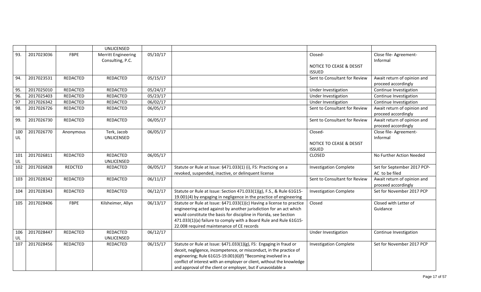|           |            |                 | UNLICENSED                                     |          |                                                                                                                                                                                                                                                                                                                                                     |                                                      |                                                    |
|-----------|------------|-----------------|------------------------------------------------|----------|-----------------------------------------------------------------------------------------------------------------------------------------------------------------------------------------------------------------------------------------------------------------------------------------------------------------------------------------------------|------------------------------------------------------|----------------------------------------------------|
| 93.       | 2017023036 | <b>FBPE</b>     | <b>Merritt Engineering</b><br>Consulting, P.C. | 05/10/17 |                                                                                                                                                                                                                                                                                                                                                     | Closed-<br>NOTICE TO CEASE & DESIST<br><b>ISSUED</b> | Close file-Agreement-<br>Informal                  |
| 94.       | 2017023531 | REDACTED        | REDACTED                                       | 05/15/17 |                                                                                                                                                                                                                                                                                                                                                     | Sent to Consultant for Review                        | Await return of opinion and<br>proceed accordingly |
| 95.       | 2017025010 | REDACTED        | REDACTED                                       | 05/24/17 |                                                                                                                                                                                                                                                                                                                                                     | Under Investigation                                  | Continue Investigation                             |
| 96.       | 2017025403 | REDACTED        | REDACTED                                       | 05/23/17 |                                                                                                                                                                                                                                                                                                                                                     | Under Investigation                                  | Continue Investigation                             |
| 97        | 2017026342 | REDACTED        | REDACTED                                       | 06/02/17 |                                                                                                                                                                                                                                                                                                                                                     | Under Investigation                                  | Continue Investigation                             |
| 98.       | 2017026726 | REDACTED        | REDACTED                                       | 06/05/17 |                                                                                                                                                                                                                                                                                                                                                     | Sent to Consultant for Review                        | Await return of opinion and<br>proceed accordingly |
| 99.       | 2017026730 | REDACTED        | REDACTED                                       | 06/05/17 |                                                                                                                                                                                                                                                                                                                                                     | Sent to Consultant for Review                        | Await return of opinion and<br>proceed accordingly |
| 100<br>UL | 2017026770 | Anonymous       | Terk, Jacob<br>UNLICENSED                      | 06/05/17 |                                                                                                                                                                                                                                                                                                                                                     | Closed-                                              | Close file-Agreement-<br>Informal                  |
|           |            |                 |                                                |          |                                                                                                                                                                                                                                                                                                                                                     | NOTICE TO CEASE & DESIST<br><b>ISSUED</b>            |                                                    |
| 101<br>UL | 2017026811 | <b>REDACTED</b> | REDACTED<br><b>UNLICENSED</b>                  | 06/05/17 |                                                                                                                                                                                                                                                                                                                                                     | <b>CLOSED</b>                                        | No Further Action Needed                           |
| 102       | 2017026828 | <b>REDCTED</b>  | REDACTED                                       | 06/05/17 | Statute or Rule at Issue: §471.033(1) (i), FS: Practicing on a<br>revoked, suspended, inactive, or delinquent license                                                                                                                                                                                                                               | <b>Investigation Complete</b>                        | Set for September 2017 PCP-<br>AC to be filed      |
| 103       | 2017028342 | REDACTED        | REDACTED                                       | 06/11/17 |                                                                                                                                                                                                                                                                                                                                                     | Sent to Consultant for Review                        | Await return of opinion and<br>proceed accordingly |
| 104       | 2017028343 | <b>REDACTED</b> | REDACTED                                       | 06/12/17 | Statute or Rule at Issue: Section 471.033(1)(g), F.S., & Rule 61G15-<br>19.001(4) by engaging in negligence in the practice of engineering                                                                                                                                                                                                          | <b>Investigation Complete</b>                        | Set for November 2017 PCP                          |
| 105       | 2017028406 | FBPE            | Kilsheimer, Allyn                              | 06/13/17 | Statute or Rule at Issue: §471.033(1)(c) Having a license to practice<br>engineering acted against by another jurisdiction for an act which<br>would constitute the basis for discipline in Florida, see Section<br>471.033(1)(a) failure to comply with a Board Rule and Rule 61G15-<br>22.008 required maintenance of CE records                  | Closed                                               | Closed with Letter of<br>Guidance                  |
| 106<br>UL | 2017028447 | REDACTED        | REDACTED<br><b>UNLICENSED</b>                  | 06/12/17 |                                                                                                                                                                                                                                                                                                                                                     | Under Investigation                                  | Continue Investigation                             |
| 107       | 2017028456 | <b>REDACTED</b> | REDACTED                                       | 06/15/17 | Statute or Rule at Issue: §471.033(1)(g), FS: Engaging in fraud or<br>deceit, negligence, incompetence, or misconduct, in the practice of<br>engineering; Rule 61G15-19.001(6)(f) "Becoming involved in a<br>conflict of interest with an employer or client, without the knowledge<br>and approval of the client or employer, but if unavoidable a | <b>Investigation Complete</b>                        | Set for November 2017 PCP                          |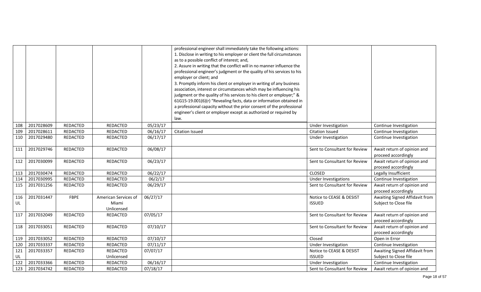|           |            |                 |                                             |          | professional engineer shall immediately take the following actions:<br>1. Disclose in writing to his employer or client the full circumstances<br>as to a possible conflict of interest; and,<br>2. Assure in writing that the conflict will in no manner influence the<br>professional engineer's judgment or the quality of his services to his<br>employer or client; and<br>3. Promptly inform his client or employer in writing of any business<br>association, interest or circumstances which may be influencing his<br>judgment or the quality of his services to his client or employer;" &<br>61G15-19.001(6)(r) "Revealing facts, data or information obtained in<br>a professional capacity without the prior consent of the professional<br>engineer's client or employer except as authorized or required by<br>law. |                                           |                                                         |
|-----------|------------|-----------------|---------------------------------------------|----------|------------------------------------------------------------------------------------------------------------------------------------------------------------------------------------------------------------------------------------------------------------------------------------------------------------------------------------------------------------------------------------------------------------------------------------------------------------------------------------------------------------------------------------------------------------------------------------------------------------------------------------------------------------------------------------------------------------------------------------------------------------------------------------------------------------------------------------|-------------------------------------------|---------------------------------------------------------|
| 108       | 2017028609 | <b>REDACTED</b> | REDACTED                                    | 05/23/17 |                                                                                                                                                                                                                                                                                                                                                                                                                                                                                                                                                                                                                                                                                                                                                                                                                                    | Under Investigation                       | Continue Investigation                                  |
| 109       | 2017028611 | <b>REDACTED</b> | REDACTED                                    | 06/16/17 | <b>Citation Issued</b>                                                                                                                                                                                                                                                                                                                                                                                                                                                                                                                                                                                                                                                                                                                                                                                                             | <b>Citation Issued</b>                    | Continue Investigation                                  |
| 110       | 2017029480 | <b>REDACTED</b> | REDACTED                                    | 06/17/17 |                                                                                                                                                                                                                                                                                                                                                                                                                                                                                                                                                                                                                                                                                                                                                                                                                                    | Under Investigation                       | Continue Investigation                                  |
| 111       | 2017029746 | REDACTED        | REDACTED                                    | 06/08/17 |                                                                                                                                                                                                                                                                                                                                                                                                                                                                                                                                                                                                                                                                                                                                                                                                                                    | Sent to Consultant for Review             | Await return of opinion and<br>proceed accordingly      |
| 112       | 2017030099 | REDACTED        | REDACTED                                    | 06/23/17 |                                                                                                                                                                                                                                                                                                                                                                                                                                                                                                                                                                                                                                                                                                                                                                                                                                    | Sent to Consultant for Review             | Await return of opinion and<br>proceed accordingly      |
| 113       | 2017030474 | <b>REDACTED</b> | REDACTED                                    | 06/22/17 |                                                                                                                                                                                                                                                                                                                                                                                                                                                                                                                                                                                                                                                                                                                                                                                                                                    | CLOSED                                    | Legally Insufficient                                    |
| 114       | 2017030995 | <b>REDACTED</b> | REDACTED                                    | 06/2/17  |                                                                                                                                                                                                                                                                                                                                                                                                                                                                                                                                                                                                                                                                                                                                                                                                                                    | <b>Under Investigations</b>               | Continue Investigation                                  |
| 115       | 2017031256 | <b>REDACTED</b> | REDACTED                                    | 06/29/17 |                                                                                                                                                                                                                                                                                                                                                                                                                                                                                                                                                                                                                                                                                                                                                                                                                                    | Sent to Consultant for Review             | Await return of opinion and<br>proceed accordingly      |
| 116<br>UL | 2017031447 | FBPE            | American Services of<br>Miami<br>Unlicensed | 06/27/17 |                                                                                                                                                                                                                                                                                                                                                                                                                                                                                                                                                                                                                                                                                                                                                                                                                                    | Notice to CEASE & DESIST<br><b>ISSUED</b> | Awaiting Signed Affidavit from<br>Subject to Close file |
| 117       | 2017032049 | <b>REDACTED</b> | REDACTED                                    | 07/05/17 |                                                                                                                                                                                                                                                                                                                                                                                                                                                                                                                                                                                                                                                                                                                                                                                                                                    | Sent to Consultant for Review             | Await return of opinion and<br>proceed accordingly      |
| 118       | 2017033051 | <b>REDACTED</b> | <b>REDACTED</b>                             | 07/10/17 |                                                                                                                                                                                                                                                                                                                                                                                                                                                                                                                                                                                                                                                                                                                                                                                                                                    | Sent to Consultant for Review             | Await return of opinion and<br>proceed accordingly      |
| 119       | 2017033052 | <b>REDACTED</b> | REDACTED                                    | 07/10/17 |                                                                                                                                                                                                                                                                                                                                                                                                                                                                                                                                                                                                                                                                                                                                                                                                                                    | Closed                                    | Open in Error                                           |
| 120       | 2017033337 | <b>REDACTED</b> | REDACTED                                    | 07/11/17 |                                                                                                                                                                                                                                                                                                                                                                                                                                                                                                                                                                                                                                                                                                                                                                                                                                    | Under Investigation                       | Continue Investigation                                  |
| 121       | 2017033357 | <b>REDACTED</b> | <b>REDACTED</b>                             | 07/07/17 |                                                                                                                                                                                                                                                                                                                                                                                                                                                                                                                                                                                                                                                                                                                                                                                                                                    | Notice to CEASE & DESIST                  | Awaiting Signed Affidavit from                          |
| UL        |            |                 | Unlicensed                                  |          |                                                                                                                                                                                                                                                                                                                                                                                                                                                                                                                                                                                                                                                                                                                                                                                                                                    | <b>ISSUED</b>                             | Subject to Close file                                   |
| 122       | 2017033366 | REDACTED        | REDACTED                                    | 06/16/17 |                                                                                                                                                                                                                                                                                                                                                                                                                                                                                                                                                                                                                                                                                                                                                                                                                                    | Under Investigation                       | Continue Investigation                                  |
| 123       | 2017034742 | REDACTED        | REDACTED                                    | 07/18/17 |                                                                                                                                                                                                                                                                                                                                                                                                                                                                                                                                                                                                                                                                                                                                                                                                                                    | Sent to Consultant for Review             | Await return of opinion and                             |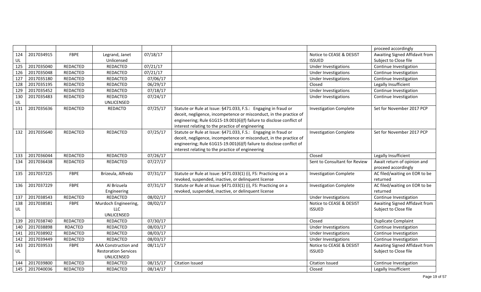|     |            |                 |                             |          |                                                                      |                               | proceed accordingly            |
|-----|------------|-----------------|-----------------------------|----------|----------------------------------------------------------------------|-------------------------------|--------------------------------|
| 124 | 2017034915 | FBPE            | Legrand, Janet              | 07/18/17 |                                                                      | Notice to CEASE & DESIST      | Awaiting Signed Affidavit from |
| UL  |            |                 | Unlicensed                  |          |                                                                      | <b>ISSUED</b>                 | Subject to Close file          |
| 125 | 2017035040 | <b>REDACTED</b> | <b>REDACTED</b>             | 07/21/17 |                                                                      | Under Investigations          | Continue Investigation         |
| 126 | 2017035048 | <b>REDACTED</b> | <b>REDACTED</b>             | 07/21/17 |                                                                      | <b>Under Investigations</b>   | Continue Investigation         |
| 127 | 2017035180 | <b>REDACTED</b> | <b>REDACTED</b>             | 07/06/17 |                                                                      | <b>Under Investigations</b>   | Continue Investigation         |
| 128 | 2017035195 | REDACTED        | <b>REDACTED</b>             | 06/29/17 |                                                                      | Closed                        | Legally Insufficient           |
| 129 | 2017035452 | REDACTED        | <b>REDACTED</b>             | 07/18/17 |                                                                      | Under Investigations          | Continue Investigation         |
| 130 | 2017035483 | REDACTED        | <b>REDACTED</b>             | 07/24/17 |                                                                      | Under Investigations          | Continue Investigation         |
| UL  |            |                 | UNLICENSED                  |          |                                                                      |                               |                                |
| 131 | 2017035636 | REDACTED        | REDACTD                     | 07/25/17 | Statute or Rule at Issue: §471.033, F.S.: Engaging in fraud or       | <b>Investigation Complete</b> | Set for November 2017 PCP      |
|     |            |                 |                             |          | deceit, negligence, incompetence or misconduct, in the practice of   |                               |                                |
|     |            |                 |                             |          | engineering; Rule 61G15-19.001(6)(f) failure to disclose conflict of |                               |                                |
|     |            |                 |                             |          | interest relating to the practice of engineering                     |                               |                                |
| 132 | 2017035640 | <b>REDACTED</b> | <b>REDACTED</b>             | 07/25/17 | Statute or Rule at Issue: §471.033, F.S.: Engaging in fraud or       | <b>Investigation Complete</b> | Set for November 2017 PCP      |
|     |            |                 |                             |          | deceit, negligence, incompetence or misconduct, in the practice of   |                               |                                |
|     |            |                 |                             |          | engineering; Rule 61G15-19.001(6)(f) failure to disclose conflict of |                               |                                |
|     |            |                 |                             |          | interest relating to the practice of engineering                     |                               |                                |
| 133 | 2017036044 | <b>REDACTED</b> | <b>REDACTED</b>             | 07/26/17 |                                                                      | Closed                        | Legally Insufficient           |
| 134 | 2017036438 | REDACTED        | REDACTED                    | 07/27/17 |                                                                      | Sent to Consultant for Review | Await return of opinion and    |
|     |            |                 |                             |          |                                                                      |                               | proceed accordingly            |
| 135 | 2017037225 | FBPE            | Brizeula, Alfredo           | 07/31/17 | Statute or Rule at Issue: §471.033(1) (i), FS: Practicing on a       | <b>Investigation Complete</b> | AC filed/waiting on EOR to be  |
|     |            |                 |                             |          | revoked, suspended, inactive, or delinquent license                  |                               | returned                       |
| 136 | 2017037229 | FBPE            | Al Brizuela                 | 07/31/17 | Statute or Rule at Issue: §471.033(1) (i), FS: Practicing on a       | <b>Investigation Complete</b> | AC filed/waiting on EOR to be  |
|     |            |                 | Engineering                 |          | revoked, suspended, inactive, or delinquent license                  |                               | returned                       |
| 137 | 2017038543 | <b>REDACTED</b> | REDACTED                    | 08/02/17 |                                                                      | <b>Under Investigations</b>   | Continue Investigation         |
| 138 | 2017038581 | <b>FBPE</b>     | Murdoch Engineering,        | 08/02/17 |                                                                      | Notice to CEASE & DESIST      | Awaiting Signed Affidavit from |
| UL  |            |                 | <b>LLC</b>                  |          |                                                                      | <b>ISSUED</b>                 | Subject to Close file          |
|     |            |                 | UNLICENSED                  |          |                                                                      |                               |                                |
| 139 | 2017038740 | <b>REDACTED</b> | <b>REDACTED</b>             | 07/30/17 |                                                                      | Closed                        | Duplicate Complaint            |
| 140 | 2017038898 | <b>RDACTED</b>  | REDACTED                    | 08/03/17 |                                                                      | <b>Under Investigations</b>   | Continue Investigation         |
| 141 | 2017038902 | REDACTED        | REDACTED                    | 08/03/17 |                                                                      | Under Investigations          | Continue Investigation         |
| 142 | 2017039449 | REDACTED        | <b>REDACTED</b>             | 08/03/17 |                                                                      | <b>Under Investigations</b>   | Continue Investigation         |
| 143 | 2017039533 | <b>FBPE</b>     | AAA Construction and        | 08/11/17 |                                                                      | Notice to CEASE & DESIST      | Awaiting Signed Affidavit from |
| UL  |            |                 | <b>Restoration Services</b> |          |                                                                      | <b>ISSUED</b>                 | Subject to Close file          |
|     |            |                 | UNLICENSED                  |          |                                                                      |                               |                                |
| 144 | 2017039800 | <b>REDACTED</b> | <b>REDACTED</b>             | 08/15/17 | <b>Citation Issued</b>                                               | <b>Citation Issued</b>        | Continue Investigation         |
| 145 | 2017040036 | <b>REDACTED</b> | <b>REDACTED</b>             | 08/14/17 |                                                                      | Closed                        | Legally Insufficient           |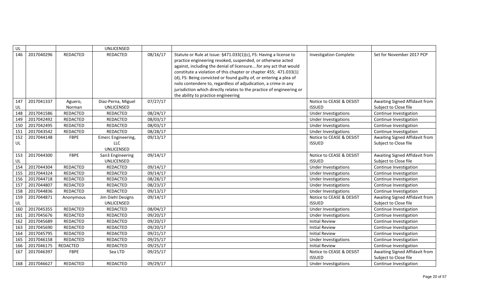| UL        |            |                 | UNLICENSED         |          |                                                                                                                                                                                                                                                                                                                                                                                                                                                                                                                                   |                               |                                |
|-----------|------------|-----------------|--------------------|----------|-----------------------------------------------------------------------------------------------------------------------------------------------------------------------------------------------------------------------------------------------------------------------------------------------------------------------------------------------------------------------------------------------------------------------------------------------------------------------------------------------------------------------------------|-------------------------------|--------------------------------|
| 146       | 2017040296 | <b>REDACTED</b> | REDACTED           | 08/16/17 | Statute or Rule at Issue: §471.033(1)(c), FS: Having a license to<br>practice engineering revoked, suspended, or otherwise acted<br>against, including the denial of licensurefor any act that would<br>constitute a violation of this chapter or chapter 455; 471.033(1)<br>(d), FS: Being convicted or found guilty of, or entering a plea of<br>nolo contendere to, regardless of adjudication, a crime in any<br>jurisdiction which directly relates to the practice of engineering or<br>the ability to practice engineering | <b>Investigation Complete</b> | Set for November 2017 PCP      |
| 147       | 2017041337 | Aguero,         | Diaz-Perna, Miguel | 07/27/17 |                                                                                                                                                                                                                                                                                                                                                                                                                                                                                                                                   | Notice to CEASE & DESIST      | Awaiting Signed Affidavit from |
| <b>UL</b> |            | Norman          | UNLICENSED         |          |                                                                                                                                                                                                                                                                                                                                                                                                                                                                                                                                   | <b>ISSUED</b>                 | Subject to Close file          |
| 148       | 2017041586 | REDACTED        | REDACTED           | 08/24/17 |                                                                                                                                                                                                                                                                                                                                                                                                                                                                                                                                   | Under Investigations          | Continue Investigation         |
| 149       | 2017042492 | REDACTED        | REDACTED           | 08/03/17 |                                                                                                                                                                                                                                                                                                                                                                                                                                                                                                                                   | Under Investigations          | Continue Investigation         |
| 150       | 2017042495 | REDACTED        | REDACTED           | 08/03/17 |                                                                                                                                                                                                                                                                                                                                                                                                                                                                                                                                   | <b>Under Investigations</b>   | Continue Investigation         |
| 151       | 2017043542 | REDACTED        | REDACTED           | 08/28/17 |                                                                                                                                                                                                                                                                                                                                                                                                                                                                                                                                   | Under Investigations          | Continue Investigation         |
| 152       | 2017044148 | <b>FBPE</b>     | Emerc Engineering, | 09/13/17 |                                                                                                                                                                                                                                                                                                                                                                                                                                                                                                                                   | Notice to CEASE & DESIST      | Awaiting Signed Affidavit from |
| UL        |            |                 | LLC                |          |                                                                                                                                                                                                                                                                                                                                                                                                                                                                                                                                   | <b>ISSUED</b>                 | Subject to Close file          |
|           |            |                 | UNLICENSED         |          |                                                                                                                                                                                                                                                                                                                                                                                                                                                                                                                                   |                               |                                |
| 153       | 2017044300 | <b>FBPE</b>     | San3 Engineering   | 09/14/17 |                                                                                                                                                                                                                                                                                                                                                                                                                                                                                                                                   | Notice to CEASE & DESIST      | Awaiting Signed Affidavit from |
| UL        |            |                 | UNLICENSED         |          |                                                                                                                                                                                                                                                                                                                                                                                                                                                                                                                                   | <b>ISSUED</b>                 | Subject to Close file          |
| 154       | 2017044304 | REDACTED        | <b>REDACTED</b>    | 09/14/17 |                                                                                                                                                                                                                                                                                                                                                                                                                                                                                                                                   | Under Investigations          | Continue Investigation         |
| 155       | 2017044324 | <b>REDACTED</b> | REDACTED           | 09/14/17 |                                                                                                                                                                                                                                                                                                                                                                                                                                                                                                                                   | <b>Under Investigations</b>   | Continue Investigation         |
| 156       | 2017044718 | REDACTED        | REDACTED           | 08/28/17 |                                                                                                                                                                                                                                                                                                                                                                                                                                                                                                                                   | Under Investigations          | Continue Investigation         |
| 157       | 2017044807 | REDACTED        | REDACTED           | 08/23/17 |                                                                                                                                                                                                                                                                                                                                                                                                                                                                                                                                   | Under Investigations          | Continue Investigation         |
| 158       | 2017044836 | REDACTED        | REDACTED           | 09/13/17 |                                                                                                                                                                                                                                                                                                                                                                                                                                                                                                                                   | <b>Under Investigations</b>   | Continue Investigation         |
| 159       | 2017044871 | Anonymous       | Jim Diehl Designs  | 09/14/17 |                                                                                                                                                                                                                                                                                                                                                                                                                                                                                                                                   | Notice to CEASE & DESIST      | Awaiting Signed Affidavit from |
| <b>UL</b> |            |                 | UNLICENSED         |          |                                                                                                                                                                                                                                                                                                                                                                                                                                                                                                                                   | <b>ISSUED</b>                 | Subject to Close file          |
| 160       | 2017045355 | REDACTED        | REDACTED           | 08/04/17 |                                                                                                                                                                                                                                                                                                                                                                                                                                                                                                                                   | Under Investigations          | Continue Investigation         |
| 161       | 2017045676 | REDACTED        | REDACTED           | 09/20/17 |                                                                                                                                                                                                                                                                                                                                                                                                                                                                                                                                   | Under Investigations          | Continue Investigation         |
| 162       | 2017045689 | REDACTED        | REDACTED           | 09/20/17 |                                                                                                                                                                                                                                                                                                                                                                                                                                                                                                                                   | <b>Initial Review</b>         | Continue Investigation         |
| 163       | 2017045690 | REDACTED        | REDACTED           | 09/20/17 |                                                                                                                                                                                                                                                                                                                                                                                                                                                                                                                                   | <b>Initial Review</b>         | Continue Investigation         |
| 164       | 2017045795 | REDACTED        | REDACTED           | 09/21/17 |                                                                                                                                                                                                                                                                                                                                                                                                                                                                                                                                   | <b>Initial Review</b>         | Continue Investigation         |
| 165       | 2017046158 | REDACTED        | REDACTED           | 09/25/17 |                                                                                                                                                                                                                                                                                                                                                                                                                                                                                                                                   | Under Investigations          | Continue Investigation         |
| 166       | 2017046175 | REDACTED        | REDACTED           | 09/25/17 |                                                                                                                                                                                                                                                                                                                                                                                                                                                                                                                                   | <b>Initial Review</b>         | Continue Investigation         |
| 167       | 2017046397 | <b>FBPE</b>     | Sea LTD            | 09/25/17 |                                                                                                                                                                                                                                                                                                                                                                                                                                                                                                                                   | Notice to CEASE & DESIST      | Awaiting Signed Affidavit from |
|           |            |                 |                    |          |                                                                                                                                                                                                                                                                                                                                                                                                                                                                                                                                   | <b>ISSUED</b>                 | Subject to Close file          |
| 168       | 2017046627 | <b>REDACTED</b> | <b>REDACTED</b>    | 09/29/17 |                                                                                                                                                                                                                                                                                                                                                                                                                                                                                                                                   | Under Investigations          | Continue Investigation         |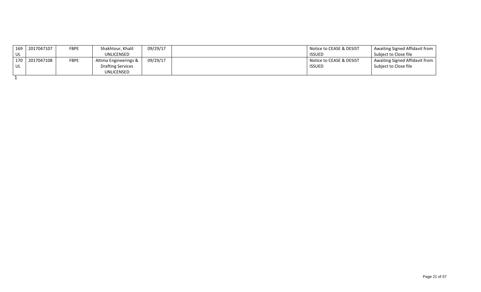|       | 169 2017047107 | <b>FBPE</b> | Shakhtour, Khalil        | 09/29/17 | Notice to CEASE & DESIST | Awaiting Signed Affidavit from        |
|-------|----------------|-------------|--------------------------|----------|--------------------------|---------------------------------------|
| UL    |                |             | UNLICENSED               |          | <b>ISSUED</b>            | Subiect to Close file                 |
| 170 l | 2017047108     | <b>FBPE</b> | Altima Engineerings &    | 09/29/17 | Notice to CEASE & DESIST | <b>Awaiting Signed Affidavit from</b> |
| UL    |                |             | <b>Drafting Services</b> |          | <b>ISSUED</b>            | Subject to Close file                 |
|       |                |             | UNLICENSED               |          |                          |                                       |

1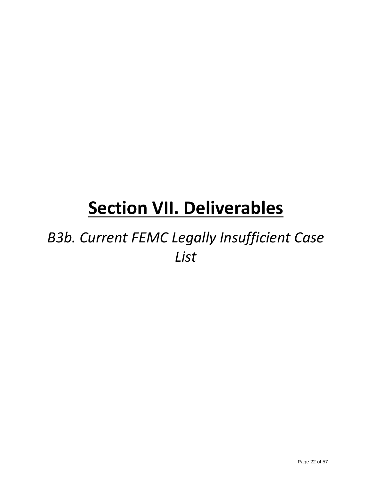### *B3b. Current FEMC Legally Insufficient Case List*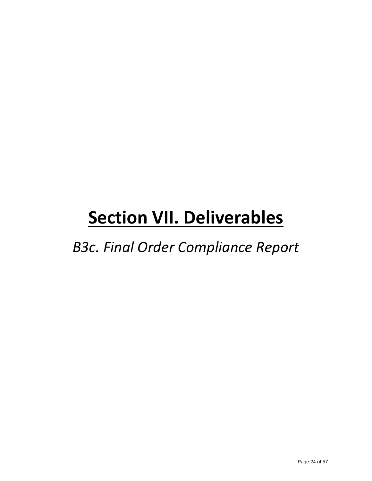*B3c. Final Order Compliance Report*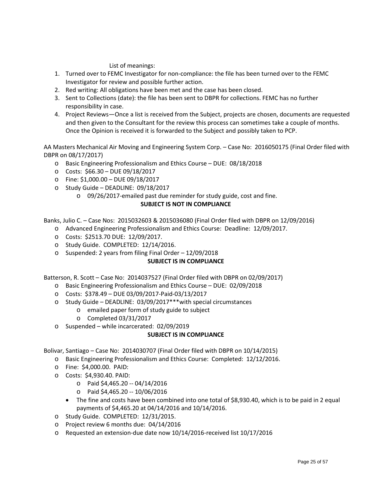List of meanings:

- 1. Turned over to FEMC Investigator for non-compliance: the file has been turned over to the FEMC Investigator for review and possible further action.
- 2. Red writing: All obligations have been met and the case has been closed.
- 3. Sent to Collections (date): the file has been sent to DBPR for collections. FEMC has no further responsibility in case.
- 4. Project Reviews—Once a list is received from the Subject, projects are chosen, documents are requested and then given to the Consultant for the review this process can sometimes take a couple of months. Once the Opinion is received it is forwarded to the Subject and possibly taken to PCP.

AA Masters Mechanical Air Moving and Engineering System Corp. – Case No: 2016050175 (Final Order filed with DBPR on 08/17/2017)

- o Basic Engineering Professionalism and Ethics Course DUE: 08/18/2018
- o Costs: \$66.30 DUE 09/18/2017
- o Fine: \$1,000.00 DUE 09/18/2017
- o Study Guide DEADLINE: 09/18/2017
	- o 09/26/2017-emailed past due reminder for study guide, cost and fine. **SUBJECT IS NOT IN COMPLIANCE**

Banks, Julio C. – Case Nos: 2015032603 & 2015036080 (Final Order filed with DBPR on 12/09/2016)

- o Advanced Engineering Professionalism and Ethics Course: Deadline: 12/09/2017.
	- o Costs: \$2513.70 DUE: 12/09/2017.
	- o Study Guide. COMPLETED: 12/14/2016.
	- o Suspended: 2 years from filing Final Order 12/09/2018

#### **SUBJECT IS IN COMPLIANCE**

Batterson, R. Scott – Case No: 2014037527 (Final Order filed with DBPR on 02/09/2017)

- o Basic Engineering Professionalism and Ethics Course DUE: 02/09/2018
- o Costs: \$378.49 DUE 03/09/2017-Paid-03/13/2017
- o Study Guide DEADLINE: 03/09/2017\*\*\*with special circumstances
	- o emailed paper form of study guide to subject
	- o Completed 03/31/2017
- o Suspended while incarcerated: 02/09/2019

#### **SUBJECT IS IN COMPLIANCE**

Bolivar, Santiago – Case No: 2014030707 (Final Order filed with DBPR on 10/14/2015)

- o Basic Engineering Professionalism and Ethics Course: Completed: 12/12/2016.
- o Fine: \$4,000.00. PAID:
- o Costs: \$4,930.40. PAID:
	- o Paid \$4,465.20 -- 04/14/2016
	- o Paid \$4,465.20 -- 10/06/2016
	- The fine and costs have been combined into one total of \$8,930.40, which is to be paid in 2 equal payments of \$4,465.20 at 04/14/2016 and 10/14/2016.
- o Study Guide. COMPLETED: 12/31/2015.
- o Project review 6 months due: 04/14/2016
- o Requested an extension-due date now 10/14/2016-received list 10/17/2016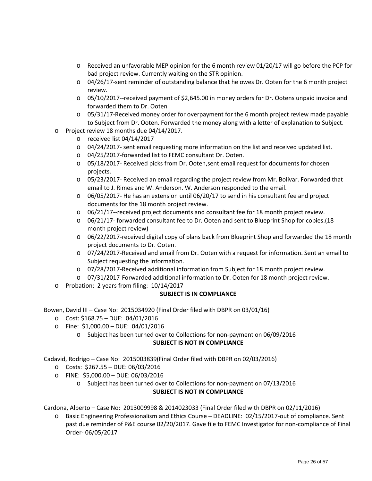- o Received an unfavorable MEP opinion for the 6 month review 01/20/17 will go before the PCP for bad project review. Currently waiting on the STR opinion.
- o 04/26/17-sent reminder of outstanding balance that he owes Dr. Ooten for the 6 month project review.
- o 05/10/2017--received payment of \$2,645.00 in money orders for Dr. Ootens unpaid invoice and forwarded them to Dr. Ooten
- o 05/31/17-Received money order for overpayment for the 6 month project review made payable to Subject from Dr. Ooten. Forwarded the money along with a letter of explanation to Subject.
- o Project review 18 months due 04/14/2017.
	- o received list 04/14/2017
	- o 04/24/2017- sent email requesting more information on the list and received updated list.
	- o 04/25/2017-forwarded list to FEMC consultant Dr. Ooten.
	- o 05/18/2017- Received picks from Dr. Ooten,sent email request for documents for chosen projects.
	- o 05/23/2017- Received an email regarding the project review from Mr. Bolivar. Forwarded that email to J. Rimes and W. Anderson. W. Anderson responded to the email.
	- $\circ$  06/05/2017- He has an extension until 06/20/17 to send in his consultant fee and project documents for the 18 month project review.
	- o 06/21/17--received project documents and consultant fee for 18 month project review.
	- o 06/21/17- forwarded consultant fee to Dr. Ooten and sent to Blueprint Shop for copies.(18 month project review)
	- o 06/22/2017-received digital copy of plans back from Blueprint Shop and forwarded the 18 month project documents to Dr. Ooten.
	- o 07/24/2017-Received and email from Dr. Ooten with a request for information. Sent an email to Subject requesting the information.
	- o 07/28/2017-Received additional information from Subject for 18 month project review.
	- o 07/31/2017-Forwarded additional information to Dr. Ooten for 18 month project review.
- o Probation: 2 years from filing: 10/14/2017

Bowen, David III – Case No: 2015034920 (Final Order filed with DBPR on 03/01/16)

- o Cost: \$168.75 DUE: 04/01/2016
- o Fine: \$1,000.00 DUE: 04/01/2016
	- o Subject has been turned over to Collections for non-payment on 06/09/2016 **SUBJECT IS NOT IN COMPLIANCE**

Cadavid, Rodrigo – Case No: 2015003839(Final Order filed with DBPR on 02/03/2016)

- o Costs: \$267.55 DUE: 06/03/2016
- o FINE: \$5,000.00 DUE: 06/03/2016
	- o Subject has been turned over to Collections for non-payment on 07/13/2016 **SUBJECT IS NOT IN COMPLIANCE**

Cardona, Alberto – Case No: 2013009998 & 2014023033 (Final Order filed with DBPR on 02/11/2016)

o Basic Engineering Professionalism and Ethics Course – DEADLINE: 02/15/2017-out of compliance. Sent past due reminder of P&E course 02/20/2017. Gave file to FEMC Investigator for non-compliance of Final Order- 06/05/2017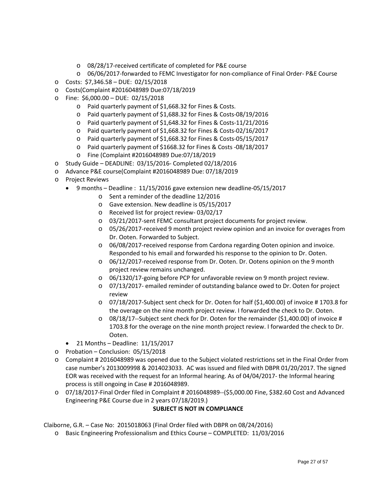- o 08/28/17-received certificate of completed for P&E course
- o 06/06/2017-forwarded to FEMC Investigator for non-compliance of Final Order- P&E Course
- o Costs: \$7,346.58 DUE: 02/15/2018
- o Costs(Complaint #2016048989 Due:07/18/2019
- o Fine: \$6,000.00 DUE: 02/15/2018
	- o Paid quarterly payment of \$1,668.32 for Fines & Costs.
	- o Paid quarterly payment of \$1,688.32 for Fines & Costs-08/19/2016
	- o Paid quarterly payment of \$1,648.32 for Fines & Costs-11/21/2016
	- o Paid quarterly payment of \$1,668.32 for Fines & Costs-02/16/2017
	- o Paid quarterly payment of \$1,668.32 for Fines & Costs-05/15/2017
	- o Paid quarterly payment of \$1668.32 for Fines & Costs -08/18/2017
	- o Fine (Complaint #2016048989 Due:07/18/2019
- o Study Guide DEADLINE: 03/15/2016- Completed 02/18/2016
- o Advance P&E course(Complaint #2016048989 Due: 07/18/2019
- o Project Reviews
	- 9 months Deadline : 11/15/2016 gave extension new deadline-05/15/2017
		- o Sent a reminder of the deadline 12/2016
		- o Gave extension. New deadline is 05/15/2017
		- o Received list for project review- 03/02/17
		- o 03/21/2017-sent FEMC consultant project documents for project review.
		- o 05/26/2017-received 9 month project review opinion and an invoice for overages from Dr. Ooten. Forwarded to Subject.
		- o 06/08/2017-received response from Cardona regarding Ooten opinion and invoice. Responded to his email and forwarded his response to the opinion to Dr. Ooten.
		- o 06/12/2017-received response from Dr. Ooten. Dr. Ootens opinion on the 9 month project review remains unchanged.
		- o 06/1320/17-going before PCP for unfavorable review on 9 month project review.
		- o 07/13/2017- emailed reminder of outstanding balance owed to Dr. Ooten for project review
		- o 07/18/2017-Subject sent check for Dr. Ooten for half (\$1,400.00) of invoice # 1703.8 for the overage on the nine month project review. I forwarded the check to Dr. Ooten.
		- o 08/18/17--Subject sent check for Dr. Ooten for the remainder (\$1,400.00) of invoice # 1703.8 for the overage on the nine month project review. I forwarded the check to Dr. Ooten.
	- $\bullet$  21 Months Deadline: 11/15/2017
- o Probation Conclusion: 05/15/2018
- o Complaint # 2016048989 was opened due to the Subject violated restrictions set in the Final Order from case number's 2013009998 & 2014023033. AC was issued and filed with DBPR 01/20/2017. The signed EOR was received with the request for an Informal hearing. As of 04/04/2017- the Informal hearing process is still ongoing in Case # 2016048989.
- $\circ$  07/18/2017-Final Order filed in Complaint # 2016048989--(\$5,000.00 Fine, \$382.60 Cost and Advanced Engineering P&E Course due in 2 years 07/18/2019.)

Claiborne, G.R. – Case No: 2015018063 (Final Order filed with DBPR on 08/24/2016)

o Basic Engineering Professionalism and Ethics Course – COMPLETED: 11/03/2016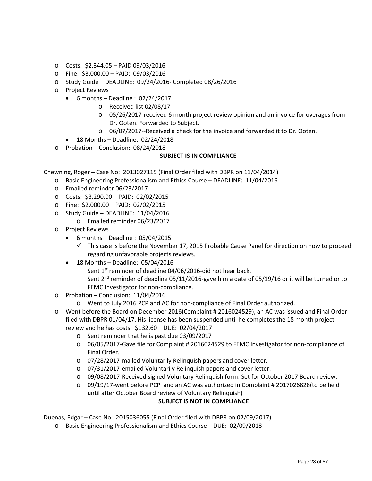- o Costs: \$2,344.05 PAID 09/03/2016
- o Fine: \$3,000.00 PAID: 09/03/2016
- o Study Guide DEADLINE: 09/24/2016- Completed 08/26/2016
- o Project Reviews
	- $\bullet$  6 months Deadline : 02/24/2017
		- o Received list 02/08/17
		- o 05/26/2017-received 6 month project review opinion and an invoice for overages from Dr. Ooten. Forwarded to Subject.
		- o 06/07/2017--Received a check for the invoice and forwarded it to Dr. Ooten.
	- 18 Months Deadline: 02/24/2018
- o Probation Conclusion: 08/24/2018

Chewning, Roger – Case No: 2013027115 (Final Order filed with DBPR on 11/04/2014)

- o Basic Engineering Professionalism and Ethics Course DEADLINE: 11/04/2016
- o Emailed reminder 06/23/2017
- o Costs: \$3,290.00 PAID: 02/02/2015
- o Fine: \$2,000.00 PAID: 02/02/2015
- o Study Guide DEADLINE: 11/04/2016
	- o Emailed reminder 06/23/2017
- o Project Reviews
	- $\bullet$  6 months Deadline : 05/04/2015
		- $\checkmark$  This case is before the November 17, 2015 Probable Cause Panel for direction on how to proceed regarding unfavorable projects reviews.
	- 18 Months Deadline: 05/04/2016
		- Sent 1<sup>st</sup> reminder of deadline 04/06/2016-did not hear back.
		- Sent 2<sup>nd</sup> reminder of deadline 05/11/2016-gave him a date of 05/19/16 or it will be turned or to FEMC Investigator for non-compliance.
- o Probation Conclusion: 11/04/2016
	- o Went to July 2016 PCP and AC for non-compliance of Final Order authorized.
- o Went before the Board on December 2016(Complaint # 2016024529), an AC was issued and Final Order filed with DBPR 01/04/17. His license has been suspended until he completes the 18 month project review and he has costs: \$132.60 – DUE: 02/04/2017
	- o Sent reminder that he is past due 03/09/2017
	- o 06/05/2017-Gave file for Complaint # 2016024529 to FEMC Investigator for non-compliance of Final Order.
	- o 07/28/2017-mailed Voluntarily Relinquish papers and cover letter.
	- o 07/31/2017-emailed Voluntarily Relinquish papers and cover letter.
	- o 09/08/2017-Received signed Voluntary Relinquish form. Set for October 2017 Board review.
	- $\circ$  09/19/17-went before PCP and an AC was authorized in Complaint #2017026828(to be held until after October Board review of Voluntary Relinquish)

#### **SUBJECT IS NOT IN COMPLIANCE**

Duenas, Edgar – Case No: 2015036055 (Final Order filed with DBPR on 02/09/2017)

o Basic Engineering Professionalism and Ethics Course – DUE: 02/09/2018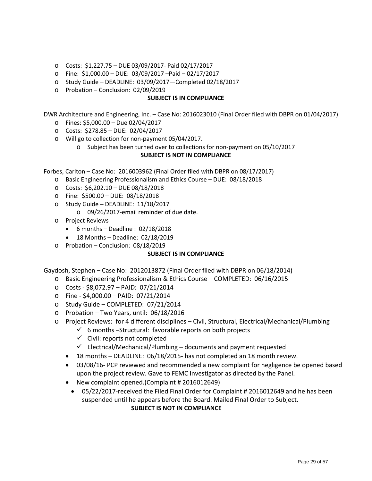- o Costs: \$1,227.75 DUE 03/09/2017- Paid 02/17/2017
- o Fine: \$1,000.00 DUE: 03/09/2017 –Paid 02/17/2017
- o Study Guide DEADLINE: 03/09/2017—Completed 02/18/2017
- o Probation Conclusion: 02/09/2019

DWR Architecture and Engineering, Inc. – Case No: 2016023010 (Final Order filed with DBPR on 01/04/2017)

- o Fines: \$5,000.00 Due 02/04/2017
- o Costs: \$278.85 DUE: 02/04/2017
- o Will go to collection for non-payment 05/04/2017.
	- o Subject has been turned over to collections for non-payment on 05/10/2017

#### **SUBJECT IS NOT IN COMPLIANCE**

Forbes, Carlton – Case No: 2016003962 (Final Order filed with DBPR on 08/17/2017)

- o Basic Engineering Professionalism and Ethics Course DUE: 08/18/2018
- o Costs: \$6,202.10 DUE 08/18/2018
- o Fine: \$500.00 DUE: 08/18/2018
- o Study Guide DEADLINE: 11/18/2017
	- o 09/26/2017-email reminder of due date.
- o Project Reviews
	- 6 months Deadline : 02/18/2018
	- 18 Months Deadline: 02/18/2019
- o Probation Conclusion: 08/18/2019

#### **SUBJECT IS IN COMPLIANCE**

Gaydosh, Stephen – Case No: 2012013872 (Final Order filed with DBPR on 06/18/2014)

- o Basic Engineering Professionalism & Ethics Course COMPLETED: 06/16/2015
- o Costs \$8,072.97 PAID: 07/21/2014
- o Fine \$4,000.00 PAID: 07/21/2014
- o Study Guide COMPLETED: 07/21/2014
- o Probation Two Years, until: 06/18/2016
- o Project Reviews: for 4 different disciplines Civil, Structural, Electrical/Mechanical/Plumbing
	- $6$  months –Structural: favorable reports on both projects
	- $\checkmark$  Civil: reports not completed
	- $\checkmark$  Electrical/Mechanical/Plumbing documents and payment requested
	- 18 months DEADLINE: 06/18/2015- has not completed an 18 month review.
	- 03/08/16- PCP reviewed and recommended a new complaint for negligence be opened based upon the project review. Gave to FEMC Investigator as directed by the Panel.
	- New complaint opened.(Complaint # 2016012649)
		- 05/22/2017-received the Filed Final Order for Complaint # 2016012649 and he has been suspended until he appears before the Board. Mailed Final Order to Subject. **SUBJECT IS NOT IN COMPLIANCE**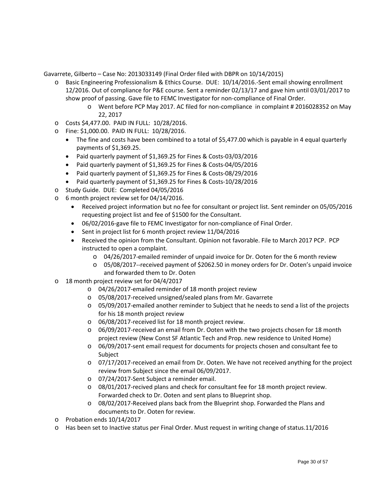Gavarrete, Gilberto – Case No: 2013033149 (Final Order filed with DBPR on 10/14/2015)

- o Basic Engineering Professionalism & Ethics Course. DUE: 10/14/2016.-Sent email showing enrollment 12/2016. Out of compliance for P&E course. Sent a reminder 02/13/17 and gave him until 03/01/2017 to show proof of passing. Gave file to FEMC Investigator for non-compliance of Final Order.
	- o Went before PCP May 2017. AC filed for non-compliance in complaint # 2016028352 on May 22, 2017
- o Costs \$4,477.00. PAID IN FULL: 10/28/2016.
- o Fine: \$1,000.00. PAID IN FULL: 10/28/2016.
	- The fine and costs have been combined to a total of \$5,477.00 which is payable in 4 equal quarterly payments of \$1,369.25.
	- Paid quarterly payment of \$1,369.25 for Fines & Costs-03/03/2016
	- Paid quarterly payment of \$1,369.25 for Fines & Costs-04/05/2016
	- Paid quarterly payment of \$1,369.25 for Fines & Costs-08/29/2016
	- Paid quarterly payment of \$1,369.25 for Fines & Costs-10/28/2016
- o Study Guide. DUE: Completed 04/05/2016
- o 6 month project review set for 04/14/2016.
	- Received project information but no fee for consultant or project list. Sent reminder on 05/05/2016 requesting project list and fee of \$1500 for the Consultant.
	- 06/02/2016-gave file to FEMC Investigator for non-compliance of Final Order.
	- Sent in project list for 6 month project review 11/04/2016
	- Received the opinion from the Consultant. Opinion not favorable. File to March 2017 PCP. PCP instructed to open a complaint.
		- o 04/26/2017-emailed reminder of unpaid invoice for Dr. Ooten for the 6 month review
		- o 05/08/2017--received payment of \$2062.50 in money orders for Dr. Ooten's unpaid invoice and forwarded them to Dr. Ooten
- o 18 month project review set for 04/4/2017
	- o 04/26/2017-emailed reminder of 18 month project review
	- o 05/08/2017-received unsigned/sealed plans from Mr. Gavarrete
	- o 05/09/2017-emailed another reminder to Subject that he needs to send a list of the projects for his 18 month project review
	- o 06/08/2017-received list for 18 month project review.
	- o 06/09/2017-received an email from Dr. Ooten with the two projects chosen for 18 month project review (New Const SF Atlantic Tech and Prop. new residence to United Home)
	- o 06/09/2017-sent email request for documents for projects chosen and consultant fee to Subject
	- o 07/17/2017-received an email from Dr. Ooten. We have not received anything for the project review from Subject since the email 06/09/2017.
	- o 07/24/2017-Sent Subject a reminder email.
	- o 08/01/2017-recived plans and check for consultant fee for 18 month project review. Forwarded check to Dr. Ooten and sent plans to Blueprint shop.
	- o 08/02/2017-Received plans back from the Blueprint shop. Forwarded the Plans and documents to Dr. Ooten for review.
- o Probation ends 10/14/2017
- o Has been set to Inactive status per Final Order. Must request in writing change of status.11/2016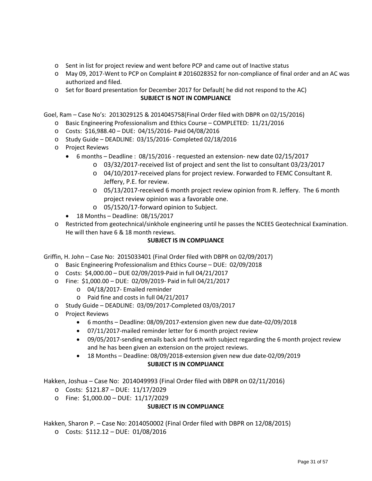- o Sent in list for project review and went before PCP and came out of Inactive status
- o May 09, 2017-Went to PCP on Complaint # 2016028352 for non-compliance of final order and an AC was authorized and filed.
- o Set for Board presentation for December 2017 for Default( he did not respond to the AC) **SUBJECT IS NOT IN COMPLIANCE**

Goel, Ram – Case No's: 2013029125 & 2014045758(Final Order filed with DBPR on 02/15/2016)

- o Basic Engineering Professionalism and Ethics Course COMPLETED: 11/21/2016
- o Costs: \$16,988.40 DUE: 04/15/2016- Paid 04/08/2016
- o Study Guide DEADLINE: 03/15/2016- Completed 02/18/2016
- o Project Reviews
	- 6 months Deadline : 08/15/2016 requested an extension- new date 02/15/2017
		- o 03/32/2017-received list of project and sent the list to consultant 03/23/2017
		- o 04/10/2017-received plans for project review. Forwarded to FEMC Consultant R. Jeffery, P.E. for review.
		- o 05/13/2017-received 6 month project review opinion from R. Jeffery. The 6 month project review opinion was a favorable one.
		- o 05/1520/17-forward opinion to Subject.
	- 18 Months Deadline: 08/15/2017
- o Restricted from geotechnical/sinkhole engineering until he passes the NCEES Geotechnical Examination. He will then have 6 & 18 month reviews.

#### **SUBJECT IS IN COMPLIANCE**

Griffin, H. John – Case No: 2015033401 (Final Order filed with DBPR on 02/09/2017)

- o Basic Engineering Professionalism and Ethics Course DUE: 02/09/2018
- o Costs: \$4,000.00 DUE 02/09/2019-Paid in full 04/21/2017
- o Fine: \$1,000.00 DUE: 02/09/2019- Paid in full 04/21/2017
	- o 04/18/2017- Emailed reminder
	- o Paid fine and costs in full 04/21/2017
- o Study Guide DEADLINE: 03/09/2017-Completed 03/03/2017
- o Project Reviews
	- 6 months Deadline: 08/09/2017-extension given new due date-02/09/2018
	- 07/11/2017-mailed reminder letter for 6 month project review
	- 09/05/2017-sending emails back and forth with subject regarding the 6 month project review and he has been given an extension on the project reviews.
	- 18 Months Deadline: 08/09/2018-extension given new due date-02/09/2019 **SUBJECT IS IN COMPLIANCE**

Hakken, Joshua – Case No: 2014049993 (Final Order filed with DBPR on 02/11/2016)

- o Costs: \$121.87 DUE: 11/17/2029
- o Fine: \$1,000.00 DUE: 11/17/2029

#### **SUBJECT IS IN COMPLIANCE**

Hakken, Sharon P. – Case No: 2014050002 (Final Order filed with DBPR on 12/08/2015)

o Costs: \$112.12 – DUE: 01/08/2016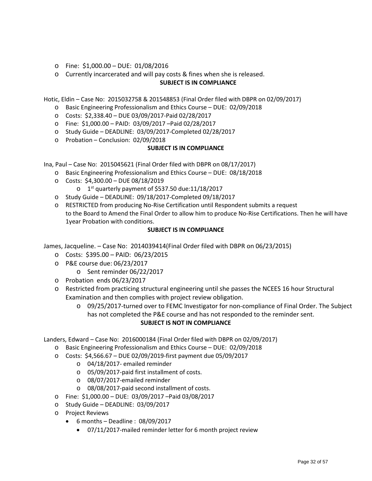- o Fine: \$1,000.00 DUE: 01/08/2016
- o Currently incarcerated and will pay costs & fines when she is released.

Hotic, Eldin – Case No: 2015032758 & 201548853 (Final Order filed with DBPR on 02/09/2017)

- o Basic Engineering Professionalism and Ethics Course DUE: 02/09/2018
- o Costs: \$2,338.40 DUE 03/09/2017-Paid 02/28/2017
- o Fine: \$1,000.00 PAID: 03/09/2017 –Paid 02/28/2017
- o Study Guide DEADLINE: 03/09/2017-Completed 02/28/2017
- o Probation Conclusion: 02/09/2018

#### **SUBJECT IS IN COMPLIANCE**

Ina, Paul – Case No: 2015045621 (Final Order filed with DBPR on 08/17/2017)

- o Basic Engineering Professionalism and Ethics Course DUE: 08/18/2018
- o Costs: \$4,300.00 DUE 08/18/2019
- $\sigma$  1<sup>st</sup> quarterly payment of \$537.50 due:11/18/2017
- o Study Guide DEADLINE: 09/18/2017-Completed 09/18/2017
- o RESTRICTED from producing No-Rise Certification until Respondent submits a request to the Board to Amend the Final Order to allow him to produce No-Rise Certifications. Then he will have 1year Probation with conditions.

#### **SUBJECT IS IN COMPLIANCE**

James, Jacqueline. – Case No: 2014039414(Final Order filed with DBPR on 06/23/2015)

- o Costs: \$395.00 PAID: 06/23/2015
- o P&E course due: 06/23/2017
	- o Sent reminder 06/22/2017
- o Probation ends 06/23/2017
- o Restricted from practicing structural engineering until she passes the NCEES 16 hour Structural Examination and then complies with project review obligation.
	- o 09/25/2017-turned over to FEMC Investigator for non-compliance of Final Order. The Subject has not completed the P&E course and has not responded to the reminder sent. **SUBJECT IS NOT IN COMPLIANCE**

Landers, Edward – Case No: 2016000184 (Final Order filed with DBPR on 02/09/2017)

- o Basic Engineering Professionalism and Ethics Course DUE: 02/09/2018
- o Costs: \$4,566.67 DUE 02/09/2019-first payment due 05/09/2017
	- o 04/18/2017- emailed reminder
	- o 05/09/2017-paid first installment of costs.
	- o 08/07/2017-emailed reminder
	- o 08/08/2017-paid second installment of costs.
- o Fine: \$1,000.00 DUE: 03/09/2017 –Paid 03/08/2017
- o Study Guide DEADLINE: 03/09/2017
- o Project Reviews
	- $\bullet$  6 months Deadline : 08/09/2017
		- 07/11/2017-mailed reminder letter for 6 month project review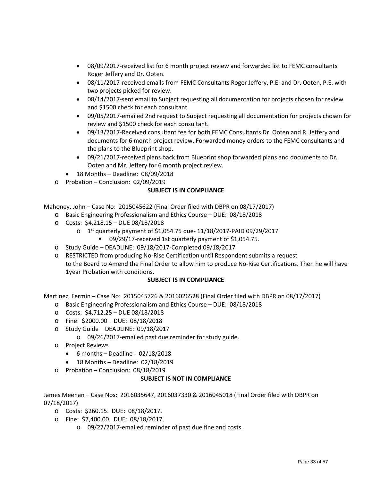- 08/09/2017-received list for 6 month project review and forwarded list to FEMC consultants Roger Jeffery and Dr. Ooten.
- 08/11/2017-received emails from FEMC Consultants Roger Jeffery, P.E. and Dr. Ooten, P.E. with two projects picked for review.
- 08/14/2017-sent email to Subject requesting all documentation for projects chosen for review and \$1500 check for each consultant.
- 09/05/2017-emailed 2nd request to Subject requesting all documentation for projects chosen for review and \$1500 check for each consultant.
- 09/13/2017-Received consultant fee for both FEMC Consultants Dr. Ooten and R. Jeffery and documents for 6 month project review. Forwarded money orders to the FEMC consultants and the plans to the Blueprint shop.
- 09/21/2017-received plans back from Blueprint shop forwarded plans and documents to Dr. Ooten and Mr. Jeffery for 6 month project review.
- 18 Months Deadline: 08/09/2018
- o Probation Conclusion: 02/09/2019

Mahoney, John – Case No: 2015045622 (Final Order filed with DBPR on 08/17/2017)

- o Basic Engineering Professionalism and Ethics Course DUE: 08/18/2018
- o Costs: \$4,218.15 DUE 08/18/2018
	- $O = 1$ <sup>st</sup> quarterly payment of \$1,054.75 due-  $11/18/2017$ -PAID 09/29/2017
	- 09/29/17-received 1st quarterly payment of \$1,054.75.
- o Study Guide DEADLINE: 09/18/2017-Completed:09/18/2017
- o RESTRICTED from producing No-Rise Certification until Respondent submits a request to the Board to Amend the Final Order to allow him to produce No-Rise Certifications. Then he will have 1year Probation with conditions.

#### **SUBJECT IS IN COMPLIANCE**

Martinez, Fermin – Case No: 2015045726 & 2016026528 (Final Order filed with DBPR on 08/17/2017)

- o Basic Engineering Professionalism and Ethics Course DUE: 08/18/2018
- o Costs: \$4,712.25 DUE 08/18/2018
- o Fine: \$2000.00 DUE: 08/18/2018
- o Study Guide DEADLINE: 09/18/2017
	- o 09/26/2017-emailed past due reminder for study guide.
- o Project Reviews
	- 6 months Deadline : 02/18/2018
	- 18 Months Deadline: 02/18/2019
- o Probation Conclusion: 08/18/2019

#### **SUBJECT IS NOT IN COMPLIANCE**

James Meehan – Case Nos: 2016035647, 2016037330 & 2016045018 (Final Order filed with DBPR on 07/18/2017)

- o Costs: \$260.15. DUE: 08/18/2017.
- o Fine: \$7,400.00. DUE: 08/18/2017.
	- o 09/27/2017-emailed reminder of past due fine and costs.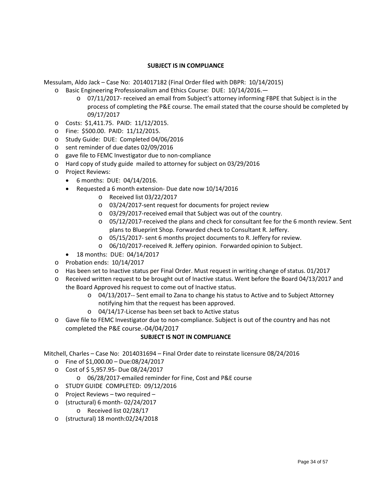Messulam, Aldo Jack – Case No: 2014017182 (Final Order filed with DBPR: 10/14/2015)

- o Basic Engineering Professionalism and Ethics Course: DUE: 10/14/2016.
	- o 07/11/2017- received an email from Subject's attorney informing FBPE that Subject is in the process of completing the P&E course. The email stated that the course should be completed by 09/17/2017
- o Costs: \$1,411.75. PAID: 11/12/2015.
- o Fine: \$500.00. PAID: 11/12/2015.
- o Study Guide: DUE: Completed 04/06/2016
- o sent reminder of due dates 02/09/2016
- o gave file to FEMC Investigator due to non-compliance
- o Hard copy of study guide mailed to attorney for subject on 03/29/2016
- o Project Reviews:
	- 6 months: DUE: 04/14/2016.
	- Requested a 6 month extension- Due date now 10/14/2016
		- o Received list 03/22/2017
		- o 03/24/2017-sent request for documents for project review
		- o 03/29/2017-received email that Subject was out of the country.
		- o 05/12/2017-received the plans and check for consultant fee for the 6 month review. Sent plans to Blueprint Shop. Forwarded check to Consultant R. Jeffery.
		- o 05/15/2017- sent 6 months project documents to R. Jeffery for review.
		- o 06/10/2017-received R. Jeffery opinion. Forwarded opinion to Subject.
	- 18 months: DUE: 04/14/2017
- o Probation ends: 10/14/2017
- o Has been set to Inactive status per Final Order. Must request in writing change of status. 01/2017
- o Received written request to be brought out of Inactive status. Went before the Board 04/13/2017 and the Board Approved his request to come out of Inactive status.
	- o 04/13/2017-- Sent email to Zana to change his status to Active and to Subject Attorney notifying him that the request has been approved.
	- o 04/14/17-License has been set back to Active status
- o Gave file to FEMC Investigator due to non-compliance. Subject is out of the country and has not completed the P&E course.-04/04/2017

#### **SUBJECT IS NOT IN COMPLIANCE**

Mitchell, Charles – Case No: 2014031694 – Final Order date to reinstate licensure 08/24/2016

- o Fine of \$1,000.00 Due:08/24/2017
- o Cost of \$ 5,957.95- Due 08/24/2017
	- o 06/28/2017-emailed reminder for Fine, Cost and P&E course
- o STUDY GUIDE COMPLETED: 09/12/2016
- o Project Reviews two required –
- o (structural) 6 month- 02/24/2017
	- o Received list 02/28/17
- o (structural) 18 month:02/24/2018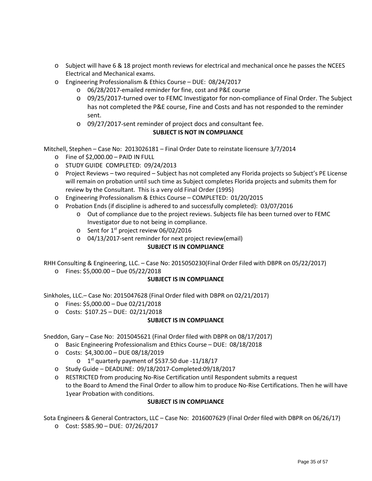- o Subject will have 6 & 18 project month reviews for electrical and mechanical once he passes the NCEES Electrical and Mechanical exams.
- o Engineering Professionalism & Ethics Course DUE: 08/24/2017
	- o 06/28/2017-emailed reminder for fine, cost and P&E course
	- o 09/25/2017-turned over to FEMC Investigator for non-compliance of Final Order. The Subject has not completed the P&E course, Fine and Costs and has not responded to the reminder sent.
	- o 09/27/2017-sent reminder of project docs and consultant fee.

Mitchell, Stephen – Case No: 2013026181 – Final Order Date to reinstate licensure 3/7/2014

- $\circ$  Fine of \$2,000.00 PAID IN FULL
- o STUDY GUIDE COMPLETED: 09/24/2013
- o Project Reviews two required Subject has not completed any Florida projects so Subject's PE License will remain on probation until such time as Subject completes Florida projects and submits them for review by the Consultant. This is a very old Final Order (1995)
- o Engineering Professionalism & Ethics Course COMPLETED: 01/20/2015
- o Probation Ends (if discipline is adhered to and successfully completed): 03/07/2016
	- o Out of compliance due to the project reviews. Subjects file has been turned over to FEMC Investigator due to not being in compliance.
	- $\circ$  Sent for 1<sup>st</sup> project review 06/02/2016
	- o 04/13/2017-sent reminder for next project review(email)

#### **SUBJECT IS IN COMPLIANCE**

RHH Consulting & Engineering, LLC. – Case No: 2015050230(Final Order Filed with DBPR on 05/22/2017) o Fines: \$5,000.00 – Due 05/22/2018

#### **SUBJECT IS IN COMPLIANCE**

Sinkholes, LLC.– Case No: 2015047628 (Final Order filed with DBPR on 02/21/2017)

- o Fines: \$5,000.00 Due 02/21/2018
- o Costs: \$107.25 DUE: 02/21/2018

#### **SUBJECT IS IN COMPLIANCE**

Sneddon, Gary – Case No: 2015045621 (Final Order filed with DBPR on 08/17/2017)

- o Basic Engineering Professionalism and Ethics Course DUE: 08/18/2018
- o Costs: \$4,300.00 DUE 08/18/2019
	- $o$  1<sup>st</sup> quarterly payment of \$537.50 due -11/18/17
- o Study Guide DEADLINE: 09/18/2017-Completed:09/18/2017
- o RESTRICTED from producing No-Rise Certification until Respondent submits a request to the Board to Amend the Final Order to allow him to produce No-Rise Certifications. Then he will have 1year Probation with conditions.

#### **SUBJECT IS IN COMPLIANCE**

Sota Engineers & General Contractors, LLC – Case No: 2016007629 (Final Order filed with DBPR on 06/26/17)

o Cost: \$585.90 – DUE: 07/26/2017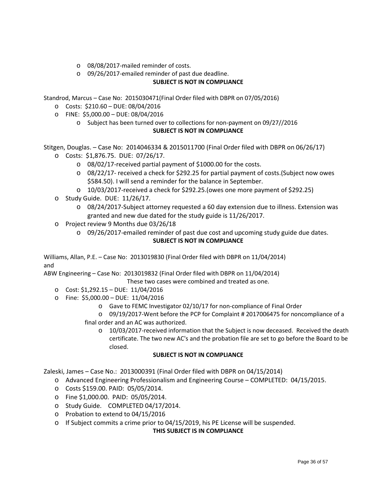- o 08/08/2017-mailed reminder of costs.
- o 09/26/2017-emailed reminder of past due deadline.

Standrod, Marcus – Case No: 2015030471(Final Order filed with DBPR on 07/05/2016)

- o Costs: \$210.60 DUE: 08/04/2016
- o FINE: \$5,000.00 DUE: 08/04/2016
	- o Subject has been turned over to collections for non-payment on 09/27//2016 **SUBJECT IS NOT IN COMPLIANCE**

Stitgen, Douglas. – Case No: 2014046334 & 2015011700 (Final Order filed with DBPR on 06/26/17)

- o Costs: \$1,876.75. DUE: 07/26/17.
	- o 08/02/17-received partial payment of \$1000.00 for the costs.
	- o 08/22/17- received a check for \$292.25 for partial payment of costs.(Subject now owes \$584.50). I will send a reminder for the balance in September.
	- o 10/03/2017-received a check for \$292.25.(owes one more payment of \$292.25)
- o Study Guide. DUE: 11/26/17.
	- o 08/24/2017-Subject attorney requested a 60 day extension due to illness. Extension was granted and new due dated for the study guide is 11/26/2017.
- o Project review 9 Months due 03/26/18
	- o 09/26/2017-emailed reminder of past due cost and upcoming study guide due dates. **SUBJECT IS NOT IN COMPLIANCE**

Williams, Allan, P.E. – Case No: 2013019830 (Final Order filed with DBPR on 11/04/2014) and

ABW Engineering – Case No: 2013019832 (Final Order filed with DBPR on 11/04/2014)

These two cases were combined and treated as one.

- o Cost: \$1,292.15 DUE: 11/04/2016
- o Fine: \$5,000.00 DUE: 11/04/2016
	- o Gave to FEMC Investigator 02/10/17 for non-compliance of Final Order
	- o 09/19/2017-Went before the PCP for Complaint # 2017006475 for noncompliance of a final order and an AC was authorized.
		- o 10/03/2017-received information that the Subject is now deceased. Received the death certificate. The two new AC's and the probation file are set to go before the Board to be closed.

#### **SUBJECT IS NOT IN COMPLIANCE**

Zaleski, James – Case No.: 2013000391 (Final Order filed with DBPR on 04/15/2014)

- o Advanced Engineering Professionalism and Engineering Course COMPLETED: 04/15/2015.
- o Costs \$159.00. PAID: 05/05/2014.
- o Fine \$1,000.00. PAID: 05/05/2014.
- o Study Guide. COMPLETED 04/17/2014.
- o Probation to extend to 04/15/2016
- $\circ$  If Subject commits a crime prior to 04/15/2019, his PE License will be suspended.

#### **THIS SUBJECT IS IN COMPLIANCE**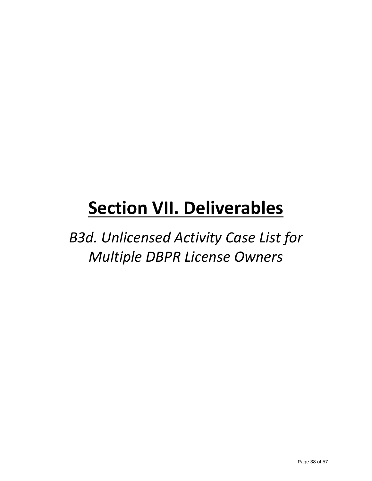*B3d. Unlicensed Activity Case List for Multiple DBPR License Owners*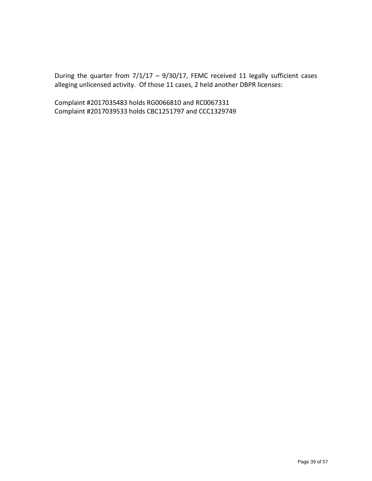During the quarter from 7/1/17 – 9/30/17, FEMC received 11 legally sufficient cases alleging unlicensed activity. Of those 11 cases, 2 held another DBPR licenses:

Complaint #2017035483 holds RG0066810 and RC0067331 Complaint #2017039533 holds CBC1251797 and CCC1329749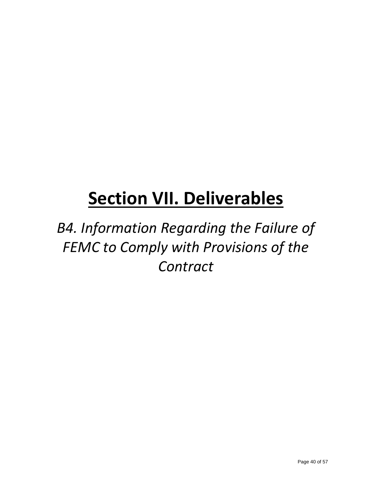*B4. Information Regarding the Failure of FEMC to Comply with Provisions of the Contract*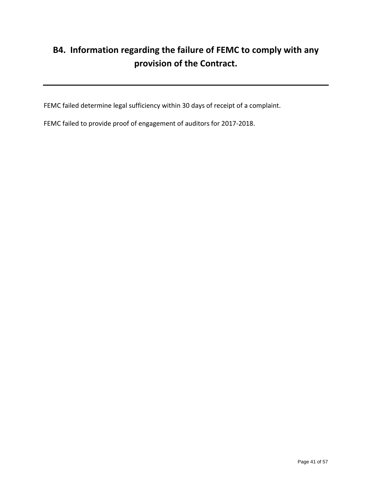### **B4. Information regarding the failure of FEMC to comply with any provision of the Contract.**

FEMC failed determine legal sufficiency within 30 days of receipt of a complaint.

FEMC failed to provide proof of engagement of auditors for 2017-2018.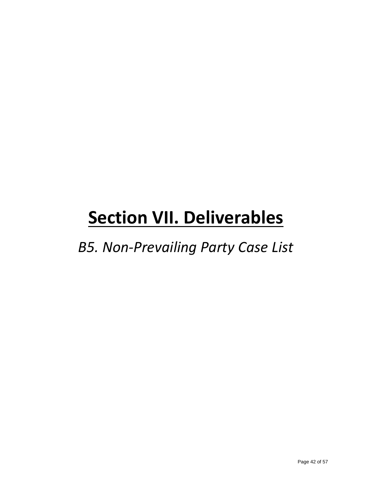*B5. Non-Prevailing Party Case List*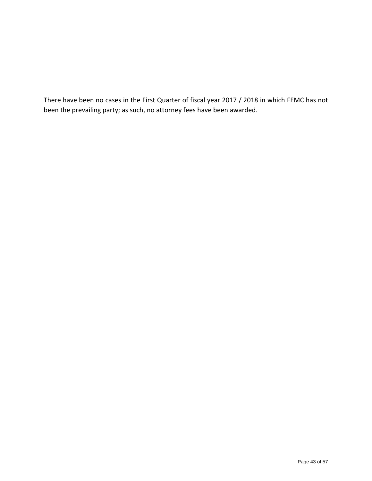There have been no cases in the First Quarter of fiscal year 2017 / 2018 in which FEMC has not been the prevailing party; as such, no attorney fees have been awarded.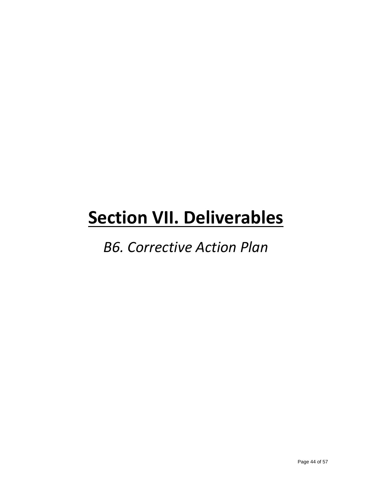### *B6. Corrective Action Plan*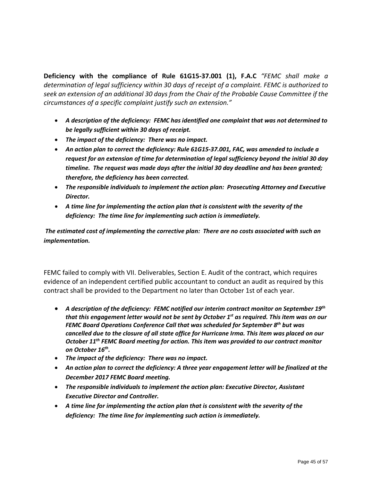**Deficiency with the compliance of Rule 61G15-37.001 (1), F.A.C** *"FEMC shall make a determination of legal sufficiency within 30 days of receipt of a complaint. FEMC is authorized to seek an extension of an additional 30 days from the Chair of the Probable Cause Committee if the circumstances of a specific complaint justify such an extension."* 

- *A description of the deficiency: FEMC has identified one complaint that was not determined to be legally sufficient within 30 days of receipt.*
- *The impact of the deficiency: There was no impact.*
- An action plan to correct the deficiency: Rule 61G15-37.001, FAC, was amended to include a *request for an extension of time for determination of legal sufficiency beyond the initial 30 day timeline. The request was made days after the initial 30 day deadline and has been granted; therefore, the deficiency has been corrected.*
- *The responsible individuals to implement the action plan: Prosecuting Attorney and Executive Director.*
- *A time line for implementing the action plan that is consistent with the severity of the deficiency: The time line for implementing such action is immediately.*

*The estimated cost of implementing the corrective plan: There are no costs associated with such an implementation.* 

FEMC failed to comply with VII. Deliverables, Section E. Audit of the contract, which requires evidence of an independent certified public accountant to conduct an audit as required by this contract shall be provided to the Department no later than October 1st of each year.

- *A description of the deficiency: FEMC notified our interim contract monitor on September 19th that this engagement letter would not be sent by October 1st as required. This item was on our FEMC Board Operations Conference Call that was scheduled for September 8th but was cancelled due to the closure of all state office for Hurricane Irma. This item was placed on our October 11th FEMC Board meeting for action. This item was provided to our contract monitor on October 16th.*
- *The impact of the deficiency: There was no impact.*
- *An action plan to correct the deficiency: A three year engagement letter will be finalized at the December 2017 FEMC Board meeting.*
- *The responsible individuals to implement the action plan: Executive Director, Assistant Executive Director and Controller.*
- *A time line for implementing the action plan that is consistent with the severity of the deficiency: The time line for implementing such action is immediately.*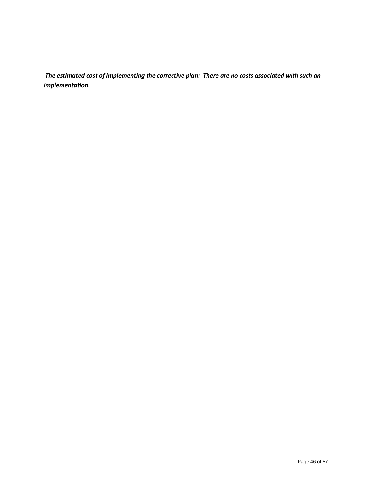*The estimated cost of implementing the corrective plan: There are no costs associated with such an implementation.*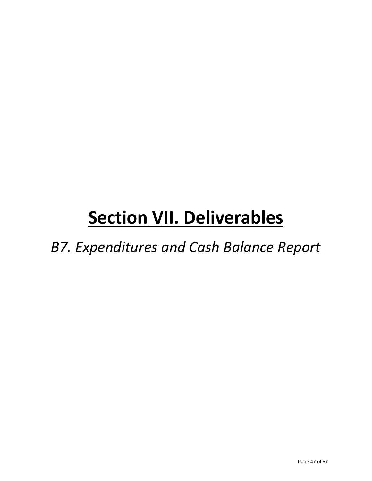*B7. Expenditures and Cash Balance Report*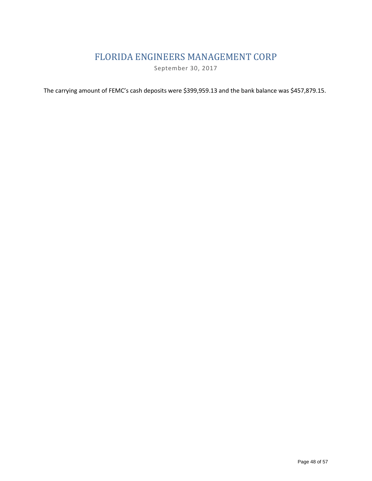#### FLORIDA ENGINEERS MANAGEMENT CORP

September 30, 2017

The carrying amount of FEMC's cash deposits were \$399,959.13 and the bank balance was \$457,879.15.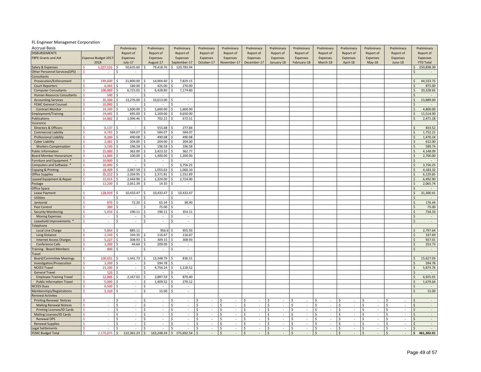#### FL Engineer Managemet Corporation

| <b>Accrual Basis</b>                 |                      |              | Preliminary              | Preliminary      |                    | Preliminary                 | Preliminary             | Preliminary                                    | Preliminary                                  | Preliminary                         | Preliminary                   | Preliminary            | Preliminary                                    | Preliminary        | Preliminary                    |                    | Preliminary      |
|--------------------------------------|----------------------|--------------|--------------------------|------------------|--------------------|-----------------------------|-------------------------|------------------------------------------------|----------------------------------------------|-------------------------------------|-------------------------------|------------------------|------------------------------------------------|--------------------|--------------------------------|--------------------|------------------|
| <b>DISBURSEMENTS</b>                 |                      |              | Report of                | Report of        |                    | Report of                   | Report of               | Report of                                      | Report of                                    | Report of                           | Report of                     | Report of              | Report of                                      | Report of          | Report of                      |                    | Report of        |
| <b>FBPE Grants and Aid</b>           | Expense Budget 2017- |              | Expenses                 | Expenses         |                    | Expenses                    | Expenses                | Expenses                                       | Expenses                                     | Expenses                            | Expenses                      | Expenses               | Expenses                                       | Expenses           | Expenses                       |                    | Expenses         |
|                                      | 2018                 |              | July-17                  | August-17        |                    | September-17                | October-17              | November-17                                    | December-17                                  | January-18                          | February-18                   | March-18               | April-18                                       | May-18             | June-18                        |                    | <b>YTD Total</b> |
| Salary & Expenses                    | 1,227,532            |              | 50,635.60                | 79,418.76        | Ś                  | 120,783.94                  |                         |                                                |                                              |                                     |                               |                        |                                                |                    |                                |                    | 250,838.30       |
| <b>Other Personnel Services(OPS)</b> |                      | Ś            | $\overline{\phantom{a}}$ |                  |                    |                             |                         |                                                |                                              |                                     |                               |                        |                                                |                    |                                |                    |                  |
| Consultants                          |                      |              |                          |                  |                    |                             |                         |                                                |                                              |                                     |                               |                        |                                                |                    |                                |                    |                  |
| Prosecution/Enforcement              | 249,600              |              | 21,800.00                | 14,904.60        | Š.                 | 7,829.15                    |                         |                                                |                                              |                                     |                               |                        |                                                |                    |                                |                    | 44,533.75        |
| <b>Court Reporters</b>               | 6,484                |              | 180.00                   | 425.00           |                    | 270.00                      |                         |                                                |                                              |                                     |                               |                        |                                                |                    |                                |                    | 875.00           |
| <b>Computer Consultants</b>          | 100,00               |              | 6,725.05                 | 6,428.80         |                    | 7,174.80                    |                         |                                                |                                              |                                     |                               |                        |                                                |                    |                                |                    | 20,328.65        |
| Human Resource Consultants           | 500                  | Ś            | $\sim$                   | Ś                |                    |                             |                         |                                                |                                              |                                     |                               |                        |                                                |                    |                                | Ś                  |                  |
| <b>Accounting Services</b>           | 35.300               | ¢            | 13,276.00                | 10,613.00        |                    | ÷.                          |                         |                                                |                                              |                                     |                               |                        |                                                |                    |                                | $\zeta$            | 23,889.00        |
| <b>FEMC General Counsel</b>          | 10,000               | Ś            |                          | Ś                | Ś                  | $\sim$                      |                         |                                                |                                              |                                     |                               |                        |                                                |                    |                                | $\mathsf{\hat{S}}$ |                  |
| <b>Contract Monitor</b>              | 19,200               | Ś.           | 1,600.00                 | 1,600.00         | Š.                 | 1,600.00                    |                         |                                                |                                              |                                     |                               |                        |                                                |                    |                                | $\mathcal{S}$      | 4,800.00         |
| mployment/Training                   | 19,69                | Ś            | 695.00                   | 1,169.00         |                    | 9,650.00                    |                         |                                                |                                              |                                     |                               |                        |                                                |                    |                                | $\mathsf{\hat{S}}$ | 11,514.00        |
| ublications                          | 14,802               | Ś            | 1,096.46                 | 702.21           | Ś                  | 672.51                      |                         |                                                |                                              |                                     |                               |                        |                                                |                    |                                | $\zeta$            | 2,471.18         |
| nsurance                             |                      |              |                          |                  |                    |                             |                         |                                                |                                              |                                     |                               |                        |                                                |                    |                                |                    |                  |
| Directors & Officers                 | 6,137                | Ŝ.           |                          | 555.68<br>Ś      |                    | 277.84                      |                         |                                                |                                              |                                     |                               |                        |                                                |                    |                                | Ŝ.                 | 833.52           |
| <b>Commercial Liability</b>          | 6,782                |              | 584.07                   | 584.07           |                    | 584.07                      |                         |                                                |                                              |                                     |                               |                        |                                                |                    |                                | $\mathsf{\hat{S}}$ | 1,752.21         |
| Professional Liability               | 8,200                |              | 490.08                   | 490.08           |                    | 490.08                      |                         |                                                |                                              |                                     |                               |                        |                                                |                    |                                | $\mathsf{\hat{S}}$ | 1,470.24         |
| <b>Cyber Liability</b>               | 2,381                | Ś            | 204.00                   | 204.00           | Ŝ.                 | 204.00                      |                         |                                                |                                              |                                     |                               |                        |                                                |                    |                                | $\mathsf{\hat{S}}$ | 612.00           |
| <b>Workers Compensation</b>          | 3,590                | Ŝ.           | 196.58                   | 196.58           | Ŝ.                 | 196.58                      |                         |                                                |                                              |                                     |                               |                        |                                                |                    |                                | \$                 | 589.74           |
| Public Information                   | 15,000               | Ś            | 362.00                   | 3,423.32<br>Ś    | Ś                  | 362.77                      |                         |                                                |                                              |                                     |                               |                        |                                                |                    |                                | $\mathsf{\hat{S}}$ | 4,148.09         |
| <b>Board Member Honorarium</b>       | 11,800               | S.           | 100.00                   | 1,400.00         | Ś                  | 1,200.00                    |                         |                                                |                                              |                                     |                               |                        |                                                |                    |                                | $\mathsf{\hat{S}}$ | 2,700.00         |
| urniture and Equipment *             | 10,000               | ¢            |                          |                  |                    |                             |                         |                                                |                                              |                                     |                               |                        |                                                |                    |                                | $\mathsf{\hat{S}}$ |                  |
| Computers and Software *             | 20,000               | Ś.           | $\sim$                   | Ś                | Ś                  | 3,756.25                    |                         |                                                |                                              |                                     |                               |                        |                                                |                    |                                | $\zeta$            | 3,756.25         |
| Copying & Printing                   | 18.409               | Ś            | 2,067.59                 | 1,055.63<br>Ś    | $\hat{\zeta}$      | 1,060.10                    |                         |                                                |                                              |                                     |                               |                        |                                                |                    |                                | $\zeta$            | 4,183.32         |
| <b>Office Supplies</b>               | 35.25                | Ś            | 2,204.95                 | 2,371.81         |                    | 1,552.89                    |                         |                                                |                                              |                                     |                               |                        |                                                |                    |                                | Ś                  | 6,129.65         |
| eased Equipment & Repair             | 22,014               |              | 2,444.90                 | 1,324.00         | Ś.                 | 2,724.00                    |                         |                                                |                                              |                                     |                               |                        |                                                |                    |                                | Ś                  | 6,492.90         |
| ostage                               | 12,20                | ς            | 2,051.39                 | 14.35            | Ś                  |                             |                         |                                                |                                              |                                     |                               |                        |                                                |                    |                                | $\mathsf{\hat{S}}$ | 2,065.74         |
| Office Space                         |                      |              |                          |                  |                    |                             |                         |                                                |                                              |                                     |                               |                        |                                                |                    |                                | $\zeta$            |                  |
| Lease Payment                        | 128,019              |              | 10,433.47                | 10,433.47        | Ŝ.                 | 10,433.47                   |                         |                                                |                                              |                                     |                               |                        |                                                |                    |                                | \$                 | 31,300.41        |
| <b>Utilities</b>                     |                      | Ś            |                          |                  |                    |                             |                         |                                                |                                              |                                     |                               |                        |                                                |                    |                                | $\zeta$            |                  |
| Janitorial                           | 870                  | Ś            | 72.20                    | 65.34            |                    | 38.90                       |                         |                                                |                                              |                                     |                               |                        |                                                |                    |                                | $\zeta$            | 176.44           |
| Pest Control                         | 300                  |              |                          | 75.00            |                    |                             |                         |                                                |                                              |                                     |                               |                        |                                                |                    |                                | $\zeta$            | 75.00            |
| <b>Security Monitoring</b>           | 5,454                | Ś            | 190.11                   | 190.11<br>\$.    | -\$                | 354.11                      |                         |                                                |                                              |                                     |                               |                        |                                                |                    |                                | $\zeta$            | 734.33           |
| <b>Moving Expenses</b>               | o.                   | Ś            | $\sim$                   | ς<br>$\sim$      | Ŝ.                 | ×.                          |                         |                                                |                                              |                                     |                               |                        |                                                |                    |                                | $\mathsf{S}$       | n.               |
| Leasehold Improvements *             |                      | Ś            | $\overline{\phantom{a}}$ | $\sim$           | Ś                  | $\overline{\phantom{a}}$    |                         |                                                |                                              |                                     |                               |                        |                                                |                    |                                | $\mathsf{\hat{S}}$ | $\sim$           |
| elephone                             |                      |              |                          |                  |                    |                             |                         |                                                |                                              |                                     |                               |                        |                                                |                    |                                |                    |                  |
| Local Line Charge                    | 9.864                | Ś            | 885.11                   | 956.6            | \$.                | 955.93                      |                         |                                                |                                              |                                     |                               |                        |                                                |                    |                                | $\mathsf{S}$       | 2,797.64         |
| Long Distance                        | 2,340                | \$           | 104.35                   | 116.67<br>ς.     | \$.                | 116.67                      |                         |                                                |                                              |                                     |                               |                        |                                                |                    |                                | $\zeta$            | 337.69           |
| <b>Internet Access Charges</b>       | 5,227                | Ś.           | 308.93                   | 309.15<br>Ś      | Ś                  | 308.93                      |                         |                                                |                                              |                                     |                               |                        |                                                |                    |                                | $\mathsf{\hat{S}}$ | 927.01           |
| <b>Conference Calls</b>              | 1,200                | Ś            | 44.64                    | 209.09           |                    | ×.                          |                         |                                                |                                              |                                     |                               |                        |                                                |                    |                                | $\mathsf{\hat{S}}$ | 253.73           |
| raining - Board Members              | 800                  | S            | $\sim$                   | Ś<br>$\sim$      | Ś                  | $\sim$                      |                         |                                                |                                              |                                     |                               |                        |                                                |                    |                                | $\mathsf{\hat{S}}$ | $\sim$           |
| ravel                                |                      |              |                          |                  |                    |                             |                         |                                                |                                              |                                     |                               |                        |                                                |                    |                                |                    |                  |
| <b>Board/Committee Meetings</b>      | 109.69:              | Ś            | 1,441.73                 | 13,348.79        |                    | 836.51                      |                         |                                                |                                              |                                     |                               |                        |                                                |                    |                                | \$                 | 15,627.03        |
| Investigation/Prosecution            | 1.200                | S            | $\sim$                   | 594.78           | S                  |                             |                         |                                                |                                              |                                     |                               |                        |                                                |                    |                                | <sup>\$</sup>      | 594.78           |
| <b>NCEES Travel</b>                  | 21,200               | Ś            | $\overline{\phantom{a}}$ | 4,756.24         | Ś                  | 1,118.52                    |                         |                                                |                                              |                                     |                               |                        |                                                |                    |                                | $\mathsf{\hat{S}}$ | 5,874.76         |
| <b>General Travel</b>                | 120                  | S            | $\sim$                   | $\sim$           | Ś                  | $\sim$                      |                         |                                                |                                              |                                     |                               |                        |                                                |                    |                                | $\mathsf{\hat{S}}$ |                  |
| <b>Employee Training Travel</b>      | 12,905               | Ś            | 2,167.02                 | 3,887.59<br>Ś    | Ś                  | 870.40                      |                         |                                                |                                              |                                     |                               |                        |                                                |                    |                                | $\zeta$            | 6,925.01         |
| <b>Public Information Travel</b>     | 5,000                |              | $\sim$                   | 1,409.52<br>Ś    | Ŝ.                 | 270.12                      |                         |                                                |                                              |                                     |                               |                        |                                                |                    |                                | $\zeta$            | 1,679.64         |
| <b>ICEES Dues</b>                    | 6,500                | Ś            | $\sim$                   | $\sim$<br>Ś      | Š.                 | $\sim$                      |                         |                                                |                                              |                                     |                               |                        |                                                |                    |                                | $\mathsf{S}$       | $\sim$           |
| Memberships/Registrations            | 5,310                |              | $\sim$                   | 15.00            |                    | $\mathcal{L}_{\mathcal{A}}$ |                         |                                                |                                              |                                     |                               |                        |                                                |                    |                                |                    | 15.00            |
| Renewal Activites                    |                      |              |                          |                  |                    |                             |                         |                                                |                                              |                                     |                               |                        |                                                |                    |                                |                    |                  |
| <b>Printing Renewal Notices</b>      |                      | Ś            | $\sim$                   | Ś<br>$\sim$      | Ś                  |                             | <sup>5</sup><br>÷.      | Ś                                              | \$<br>÷                                      | Ŝ.<br>×,                            | Ŝ.                            | \$<br>×.               | Š.                                             | $\mathsf{\hat{S}}$ | <sup>5</sup>                   | $\mathsf{\hat{S}}$ | $\sim$           |
| <b>Mailing Renewal Notices</b>       | $\sim$               | Ś            | $\sim$                   | \$<br>$\sim$     | $\mathsf{\hat{S}}$ | $\epsilon$                  | <sup>\$</sup><br>$\sim$ | Ś<br>$\overline{\phantom{a}}$                  | \$<br>$\sim$                                 | Ś<br>$\sim$                         | \$<br>$\sim$                  | Ś<br>$\sim$            | $\mathsf{\hat{S}}$<br>$\sim$                   | \$<br>$\sim$       | \$<br>$\overline{\phantom{a}}$ | $\mathcal{S}$      | $\sim$           |
| Printing Licenses/ID Cards           | ×.                   | S            | $\sim$                   | $\sim$<br>Ŝ.     | Ŝ.                 | $\sim$                      | Ŝ.<br>$\sim$            | Ŝ.<br>$\sim$                                   | Ŝ.<br>$\sim$                                 | Ś<br>$\sim$                         | $\sim$<br>-S                  | Ś.<br>$\sim$           | Ŝ.<br>$\sim$                                   | Ŝ.<br>$\sim$       | \$.<br>$\sim$                  | <sup>\$</sup>      | $\sim$           |
| Mailing Licenses/ID Cards            |                      | Ś            | $\sim$                   | $\sim$           |                    | ÷.                          | $\sim$                  | Ś<br>$\mathbf{r}$                              | $\mathcal{L}_{\mathcal{A}}$<br><sup>\$</sup> | Ś<br>÷.                             |                               | Ś<br>$\sim$            | $\hat{\varsigma}$<br>$\sim$                    | $\sim$             | $\sim$                         |                    | $\mathcal{L}$    |
| Renewal OPS                          | ×.                   | Ś            | $\sim$                   | Ś<br>$\sim$      | Ś                  | ÷.                          | \$<br>$\sim$            | Ś<br>$\mathcal{L}_{\mathcal{A}}$               | Ś<br>$\sim$                                  | <sub>S</sub><br>$\bar{\phantom{a}}$ | Ś<br>$\overline{\phantom{a}}$ | \$<br>$\sim$           | Ś<br>$\sim$                                    | \$<br>$\sim$       | \$<br>$\sim$                   | $\zeta$            | $\sim$           |
| <b>Renewal Supplies</b>              |                      | $\mathsf{S}$ | $\mathcal{L}$            | \$<br>$\sim$     | S.                 | ÷                           | $\mathsf{S}$<br>$\sim$  | Ŝ.<br>$\mathcal{L}$                            | Ŝ.<br>$\sim$                                 | l \$<br>$\mathcal{L}$               | Ŝ.<br>÷                       | Ŝ.<br>$\sim$           | S.<br>$\mathbf{r}$                             | Ŝ.<br>n.           | l \$<br>$\mathcal{L}$          | $\zeta$            | $\sim$           |
| egal Settlements                     |                      | Ś.           |                          | \$<br>$\sim$     | Ś                  |                             | <sup>5</sup><br>$\sim$  | \$<br>$\sim$                                   | Ŝ.<br>$\sim$                                 | \$<br>$\sim$                        | \$                            | Ś<br>$\sim$            | $\mathsf{\hat{S}}$<br>$\overline{\phantom{a}}$ | \$<br>$\sim$       | \$<br>$\overline{\phantom{a}}$ | $\mathsf{\hat{S}}$ | $\sim$           |
| <b>FEMC Budget Total</b>             | 2,170,875            | $\zeta$      | 122,361.23               | 163,248.24<br>\$ | $\zeta$            | 175,692.54                  | $\mathcal{S}$<br>$\sim$ | $\mathsf{\hat{S}}$<br>$\overline{\phantom{a}}$ | $\mathsf{\hat{S}}$<br>$\sim$                 | $\zeta$<br>$\sim$                   | $\mathsf{S}$                  | $\mathsf{S}$<br>$\sim$ | $\mathsf{\hat{S}}$<br>$\sim$                   | $\zeta$<br>$\sim$  | $\mathsf{\hat{S}}$<br>$\sim$   | \$                 | 461,302.01       |
|                                      |                      |              |                          |                  |                    |                             |                         |                                                |                                              |                                     |                               |                        |                                                |                    |                                |                    |                  |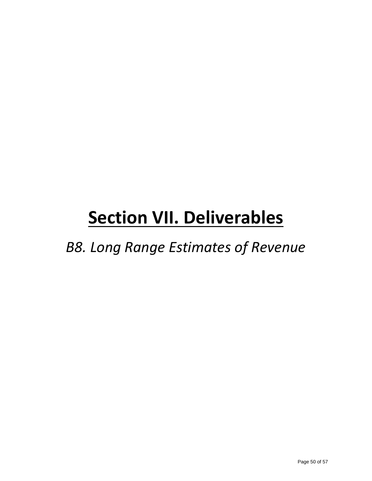*B8. Long Range Estimates of Revenue*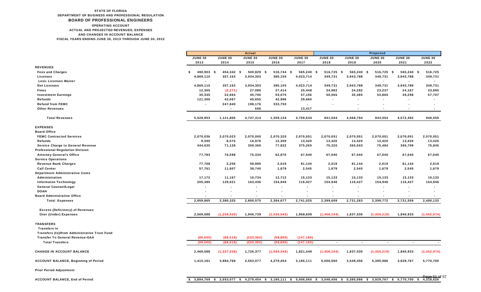#### AND CHANGES IN ACCOUNT BALANCE FISCAL YEARS ENDING JUNE 30, 2013 THROUGH JUNE 30, 2022 STATE OF FLORIDA DEPARTMENT OF BUSINESS AND PROFESSIONAL REGULATION BOARD OF PROFESSIONAL ENGINEERS ACTUAL AND PROJECTED REVENUES, EXPENSES OPERATING ACCOUNT

|                                               |                  |                          | <b>Actual</b>  |                |                |                |                                                                                                                      | Projected                |                          |                                |
|-----------------------------------------------|------------------|--------------------------|----------------|----------------|----------------|----------------|----------------------------------------------------------------------------------------------------------------------|--------------------------|--------------------------|--------------------------------|
|                                               | <b>JUNE 30</b>   | <b>JUNE 30</b>           | <b>JUNE 30</b> | <b>JUNE 30</b> | <b>JUNE 30</b> | <b>JUNE 30</b> | <b>JUNE 30</b>                                                                                                       | <b>JUNE 30</b>           | <b>JUNE 30</b>           | <b>JUNE 30</b>                 |
|                                               | 2013             | 2014                     | 2015           | 2016           | 2017           | 2018           | 2019                                                                                                                 | 2020                     | 2021                     | 2022                           |
| <b>REVENUES</b>                               |                  |                          |                |                |                |                |                                                                                                                      |                          |                          |                                |
| <b>Fees and Charges</b>                       | \$<br>490,903 \$ | 454,342 \$               | 500,829 \$     | 516,744 \$     | 565,240 \$     | $516,725$ \$   | 565,240 \$                                                                                                           | 516,725 \$               | 565,240 \$               | 516,725                        |
| Licenses                                      | 4,869,110        | 357,163                  | 3,934,303      | 385,155        | 4,023,714      | 349,731        | 3,943,788                                                                                                            | 349,731                  | 3,943,788                | 349,731                        |
| <b>Less: Licenses Waiver</b>                  |                  | $\blacksquare$           |                | $\blacksquare$ |                |                |                                                                                                                      | $\blacksquare$           |                          |                                |
| <b>Net Licenses</b>                           | 4,869,110        | 357,163                  | 3,934,303      | 385,155        | 4,023,714      | 349,731        | 3,943,788                                                                                                            | 349,731                  | 3,943,788                | 349,731                        |
| <b>Fines</b>                                  | 12,305           | (2, 271)                 | 27,085         | 27,414         | 20,448         | 24,982         | 24,282                                                                                                               | 23,237                   | 24,167                   | 23,895                         |
| <b>Investment Earnings</b>                    | 35,335           | 22,664                   | 45,700         | 53,075         | 57,156         | 50,066         | 35,485                                                                                                               | 53,860                   | 39,298                   | 57,707                         |
| Refunds                                       | 121,300          | 42,067                   | 40,655         | 42,996         | 29,660         |                |                                                                                                                      |                          |                          |                                |
| <b>Refund from FEMC</b>                       | $\blacksquare$   | 247,840                  | 198,176        | 333,750        |                | $\blacksquare$ | $\blacksquare$                                                                                                       | $\blacksquare$           | $\overline{\phantom{a}}$ | $\blacksquare$                 |
| <b>Other Revenues</b>                         |                  | $\blacksquare$           | 566            |                | 13,417         |                |                                                                                                                      | $\overline{\phantom{a}}$ | $\overline{\phantom{a}}$ | $\blacksquare$                 |
| <b>Total Revenues</b>                         | 5,528,953        | 1,121,805                | 4,747,314      | 1,359,134      | 4,709,634      | 941,504        | 4,568,794                                                                                                            | 943,554                  | 4,572,492                | 948,059                        |
| <b>EXPENSES</b>                               |                  |                          |                |                |                |                |                                                                                                                      |                          |                          |                                |
| <b>Board Office</b>                           |                  |                          |                |                |                |                |                                                                                                                      |                          |                          |                                |
| <b>FEMC Contracted Services</b>               | 2,070,036        | 2,070,023                | 2,070,000      | 2,070,320      | 2,070,051      | 2,070,051      | 2,070,051                                                                                                            | 2,070,051                | 2,070,051                | 2,070,051                      |
| <b>Refunds</b>                                | 9,390            | 8,575                    | 16,976         | 12,309         | 13,420         | 13,420         | 13,420                                                                                                               | 13,420                   | 13,420                   | 13,420                         |
| <b>Service Charge to General Revenue</b>      | 444,635          | 71,128                   | 359,360        | 77,822         | 375,265        | 75,320         | 365,503                                                                                                              | 75,484                   | 365,799                  | 75,845                         |
| <b>Professional Regulation Division</b>       |                  |                          |                |                |                |                |                                                                                                                      |                          |                          |                                |
| <b>Attorney General's Office</b>              | 77,783           | 76,598                   | 75,334         | 62,870         | 67,040         | 67,040         | 67,040                                                                                                               | 67,040                   | 67,040                   | 67,040                         |
| <b>Service Operations</b>                     |                  |                          |                |                |                |                |                                                                                                                      |                          |                          |                                |
| <b>Revenue Bank Charges</b>                   | 77,708           | 2,206                    | 59,995         | 2,019          | 81,144         | 2,019          | 81,144                                                                                                               | 2,019                    | 81,144                   | 2,019                          |
| <b>Call Center</b>                            | 57,761           | 11,607                   | 38,740         | 1,679          | 2,545          | 1,679          | 2,545                                                                                                                | 1,679                    | 2,545                    | 1,679                          |
| <b>Department Administrative Costs</b>        |                  |                          |                |                |                |                |                                                                                                                      |                          |                          |                                |
| Administration                                | 17,172           | 11,167                   | 16,734         | 12,712         | 15,133         | 15,133         | 15,133                                                                                                               | 15,133                   | 15,133                   | 15,133                         |
| <b>Informaton Technology</b>                  | 205,380          | 129,021                  | 163,436        | 154,946        | 116,427        | 154,946        | 116,427                                                                                                              | 154,946                  | 116,427                  | 154,946                        |
| <b>General Counsel/Legal</b>                  | $\blacksquare$   | $\overline{\phantom{a}}$ | $\sim$         | $\blacksquare$ | $\sim$         | $\blacksquare$ | $\blacksquare$                                                                                                       | $\blacksquare$           | $\blacksquare$           |                                |
| <b>DOAH</b>                                   | $\blacksquare$   | $\blacksquare$           |                | $\blacksquare$ |                | $\blacksquare$ |                                                                                                                      | $\blacksquare$           | $\overline{\phantom{a}}$ |                                |
| <b>Board Administrative Office</b>            |                  |                          |                |                |                |                |                                                                                                                      |                          |                          |                                |
| <b>Total Expenses</b>                         | 2,959,865        | 2,380,325                | 2,800,575      | 2,394,677      | 2,741,025      | 2,399,609      | 2,731,263                                                                                                            | 2,399,772                | 2,731,559                | 2,400,133                      |
| <b>Excess (Deficiency) of Revenues</b>        |                  |                          |                |                |                |                |                                                                                                                      |                          |                          |                                |
| <b>Over (Under) Expenses</b>                  | 2,569,088        | (1, 258, 520)            | 1,946,739      | (1,035,543)    | 1,968,609      | (1,458,104)    | 1,837,530                                                                                                            | (1,456,219)              | 1,840,933                | (1,452,074)                    |
| TRANSFERS                                     |                  |                          |                |                |                |                |                                                                                                                      |                          |                          |                                |
| <b>Transfers In</b>                           |                  |                          |                |                |                |                |                                                                                                                      |                          |                          |                                |
| Transfers (to)/from Administrative Trust Fund |                  |                          |                |                |                |                |                                                                                                                      |                          |                          |                                |
| <b>Transfer To General Revenue-GAA</b>        | (99, 500)        | (68, 518)                | (220, 362)     | (58.800)       | (147, 160)     |                |                                                                                                                      |                          |                          |                                |
| <b>Total Transfers</b>                        | (99, 500)        | (68, 518)                | (220, 362)     | (58, 800)      | (147, 160)     | $\sim$         | $\sim$                                                                                                               | $\sim$                   | $\blacksquare$           | $\sim$                         |
| <b>CHANGE IN ACCOUNT BALANCE</b>              | 2,469,588        | (1, 327, 038)            | 1,726,377      | (1,094,343)    | 1,821,449      | (1,458,104)    | 1,837,530                                                                                                            | (1,456,219)              | 1,840,933                | (1,452,074)                    |
| <b>ACCOUNT BALANCE, Beginning of Period</b>   | 1,415,181        | 3,884,769                | 2,553,077      | 4,279,454      | 3,185,111      | 5,006,560      | 3,548,456                                                                                                            | 5,385,986                | 3,929,767                | 5,770,700                      |
| <b>Prior Period Adjustment</b>                |                  |                          |                |                |                |                |                                                                                                                      |                          |                          |                                |
| <b>ACCOUNT BALANCE, End of Period</b>         | \$               |                          |                |                |                |                | 3,884,769 \$ 2,553,077 \$ 4,279,454 \$ 3,185,111 \$ 5,006,560 \$ 3,548,456 \$ 5,385,986 \$ 3,929,767 \$ 5,770,700 \$ |                          |                          | $\frac{P_{399}}{4,398,826}$ 57 |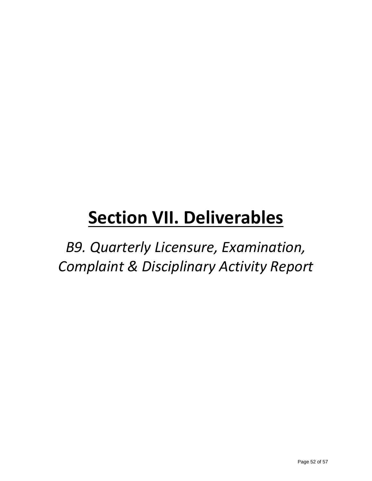*B9. Quarterly Licensure, Examination, Complaint & Disciplinary Activity Report*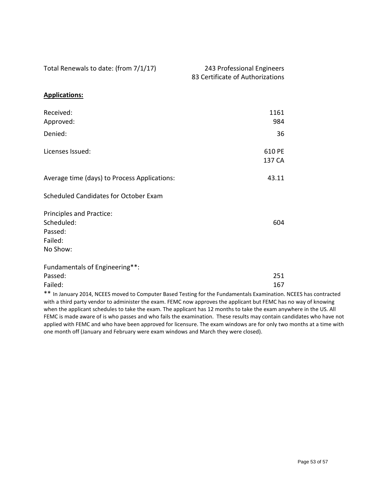| Total Renewals to date: (from 7/1/17)                                                                                                                                                                                                | 243 Professional Engineers<br>83 Certificate of Authorizations |  |
|--------------------------------------------------------------------------------------------------------------------------------------------------------------------------------------------------------------------------------------|----------------------------------------------------------------|--|
| <b>Applications:</b>                                                                                                                                                                                                                 |                                                                |  |
| Received:<br>Approved:                                                                                                                                                                                                               | 1161<br>984                                                    |  |
| Denied:                                                                                                                                                                                                                              | 36                                                             |  |
| Licenses Issued:                                                                                                                                                                                                                     | 610 PE<br>137 CA                                               |  |
| Average time (days) to Process Applications:                                                                                                                                                                                         | 43.11                                                          |  |
| Scheduled Candidates for October Exam                                                                                                                                                                                                |                                                                |  |
| Principles and Practice:<br>Scheduled:<br>Passed:<br>Failed:<br>No Show:                                                                                                                                                             | 604                                                            |  |
| Fundamentals of Engineering**:                                                                                                                                                                                                       |                                                                |  |
| Passed:                                                                                                                                                                                                                              | 251                                                            |  |
| Failed:                                                                                                                                                                                                                              | 167                                                            |  |
| ** In January 2014, NCEES moved to Computer Based Testing for the Fundamentals Examination. NCEES has contracted<br>with a third party vendor to administer the exam. FEMC now approves the applicant but FEMC has no way of knowing |                                                                |  |

with a third party vendor to administer the exam. FEMC now approves the applicant but FEMC has no way of knowing when the applicant schedules to take the exam. The applicant has 12 months to take the exam anywhere in the US. All FEMC is made aware of is who passes and who fails the examination. These results may contain candidates who have not applied with FEMC and who have been approved for licensure. The exam windows are for only two months at a time with one month off (January and February were exam windows and March they were closed).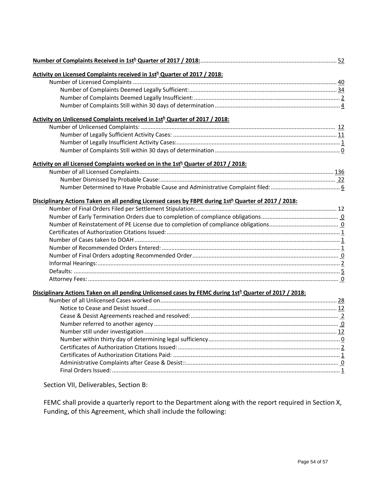| Activity on Licensed Complaints received in 1sth Quarter of 2017 / 2018:                                           |  |
|--------------------------------------------------------------------------------------------------------------------|--|
|                                                                                                                    |  |
|                                                                                                                    |  |
|                                                                                                                    |  |
|                                                                                                                    |  |
| Activity on Unlicensed Complaints received in 1sth Quarter of 2017 / 2018:                                         |  |
|                                                                                                                    |  |
|                                                                                                                    |  |
|                                                                                                                    |  |
|                                                                                                                    |  |
| Activity on all Licensed Complaints worked on in the 1sth Quarter of 2017 / 2018:                                  |  |
|                                                                                                                    |  |
|                                                                                                                    |  |
|                                                                                                                    |  |
| Disciplinary Actions Taken on all pending Licensed cases by FBPE during 1st <sup>h</sup> Quarter of 2017 / 2018:   |  |
|                                                                                                                    |  |
|                                                                                                                    |  |
|                                                                                                                    |  |
|                                                                                                                    |  |
|                                                                                                                    |  |
|                                                                                                                    |  |
|                                                                                                                    |  |
|                                                                                                                    |  |
|                                                                                                                    |  |
|                                                                                                                    |  |
| Disciplinary Actions Taken on all pending Unlicensed cases by FEMC during 1st <sup>h</sup> Quarter of 2017 / 2018: |  |
|                                                                                                                    |  |
|                                                                                                                    |  |
|                                                                                                                    |  |
|                                                                                                                    |  |
|                                                                                                                    |  |
|                                                                                                                    |  |
|                                                                                                                    |  |
|                                                                                                                    |  |
|                                                                                                                    |  |
|                                                                                                                    |  |
|                                                                                                                    |  |
| Section VII, Deliverables, Section B:                                                                              |  |

FEMC shall provide a quarterly report to the Department along with the report required in Section X, Funding, of this Agreement, which shall include the following: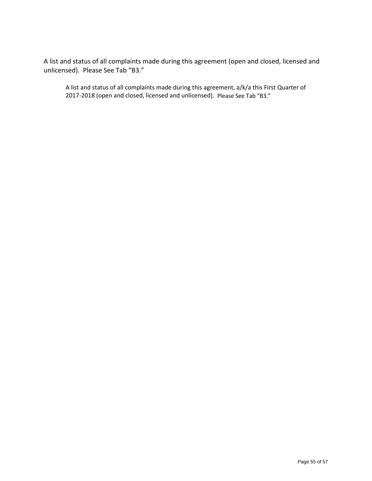A list and status of all complaints made during this agreement (open and closed, licensed and unlicensed). Please See Tab "B3."

A list and status of all complaints made during this agreement, a/k/a this First Quarter of 2017-2018 (open and closed, licensed and unlicensed). Please See Tab "B3."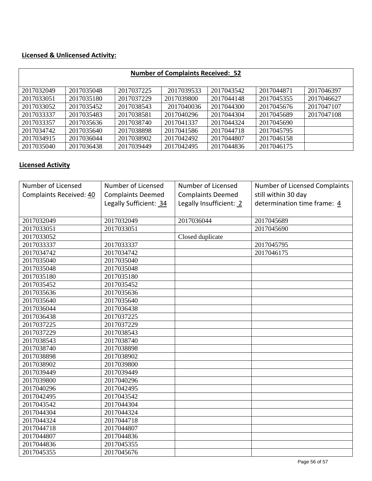#### **Licensed & Unlicensed Activity:**

| <b>Number of Complaints Received: 52</b> |            |            |            |            |            |            |  |  |  |
|------------------------------------------|------------|------------|------------|------------|------------|------------|--|--|--|
|                                          |            |            |            |            |            |            |  |  |  |
| 2017032049                               | 2017035048 | 2017037225 | 2017039533 | 2017043542 | 2017044871 | 2017046397 |  |  |  |
| 2017033051                               | 2017035180 | 2017037229 | 2017039800 | 2017044148 | 2017045355 | 2017046627 |  |  |  |
| 2017033052                               | 2017035452 | 2017038543 | 2017040036 | 2017044300 | 2017045676 | 2017047107 |  |  |  |
| 2017033337                               | 2017035483 | 2017038581 | 2017040296 | 2017044304 | 2017045689 | 2017047108 |  |  |  |
| 2017033357                               | 2017035636 | 2017038740 | 2017041337 | 2017044324 | 2017045690 |            |  |  |  |
| 2017034742                               | 2017035640 | 2017038898 | 2017041586 | 2017044718 | 2017045795 |            |  |  |  |
| 2017034915                               | 2017036044 | 2017038902 | 2017042492 | 2017044807 | 2017046158 |            |  |  |  |
| 2017035040                               | 2017036438 | 2017039449 | 2017042495 | 2017044836 | 2017046175 |            |  |  |  |

#### **Licensed Activity**

| Number of Licensed      | Number of Licensed       | Number of Licensed       | Number of Licensed Complaints |
|-------------------------|--------------------------|--------------------------|-------------------------------|
| Complaints Received: 40 | <b>Complaints Deemed</b> | <b>Complaints Deemed</b> | still within 30 day           |
|                         | Legally Sufficient: 34   | Legally Insufficient: 2  | determination time frame: 4   |
|                         |                          |                          |                               |
| 2017032049              | 2017032049               | 2017036044               | 2017045689                    |
| 2017033051              | 2017033051               |                          | 2017045690                    |
| 2017033052              |                          | Closed duplicate         |                               |
| 2017033337              | 2017033337               |                          | 2017045795                    |
| 2017034742              | 2017034742               |                          | 2017046175                    |
| 2017035040              | 2017035040               |                          |                               |
| 2017035048              | 2017035048               |                          |                               |
| 2017035180              | 2017035180               |                          |                               |
| 2017035452              | 2017035452               |                          |                               |
| 2017035636              | 2017035636               |                          |                               |
| 2017035640              | 2017035640               |                          |                               |
| 2017036044              | 2017036438               |                          |                               |
| 2017036438              | 2017037225               |                          |                               |
| 2017037225              | 2017037229               |                          |                               |
| 2017037229              | 2017038543               |                          |                               |
| 2017038543              | 2017038740               |                          |                               |
| 2017038740              | 2017038898               |                          |                               |
| 2017038898              | 2017038902               |                          |                               |
| 2017038902              | 2017039800               |                          |                               |
| 2017039449              | 2017039449               |                          |                               |
| 2017039800              | 2017040296               |                          |                               |
| 2017040296              | 2017042495               |                          |                               |
| 2017042495              | 2017043542               |                          |                               |
| 2017043542              | 2017044304               |                          |                               |
| 2017044304              | 2017044324               |                          |                               |
| 2017044324              | 2017044718               |                          |                               |
| 2017044718              | 2017044807               |                          |                               |
| 2017044807              | 2017044836               |                          |                               |
| 2017044836              | 2017045355               |                          |                               |
| 2017045355              | 2017045676               |                          |                               |